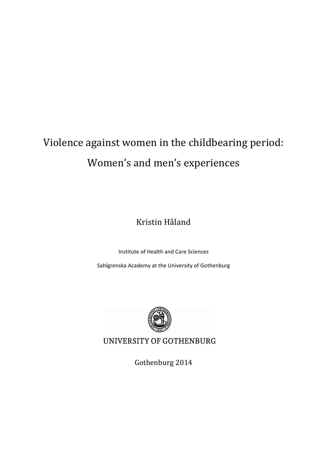# Violence against women in the childbearing period: Women's and men's experiences

Kristin Håland

Institute of Health and Care Sciences

Sahlgrenska Academy at the University of Gothenburg



UNIVERSITY OF GOTHENBURG

Gothenburg 2014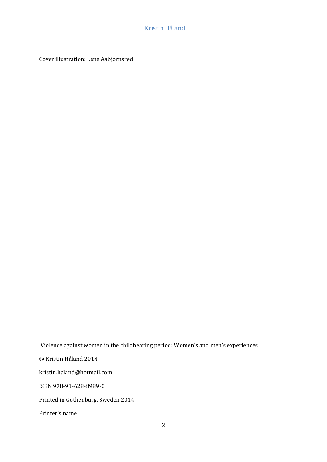Cover illustration: Lene Aabjørnsrød

Violence against women in the childbearing period: Women's and men's experiences

© Kristin Håland 2014

kristin.haland@hotmail.com

ISBN 978-91-628-8989-0

Printed in Gothenburg, Sweden 2014

Printer's name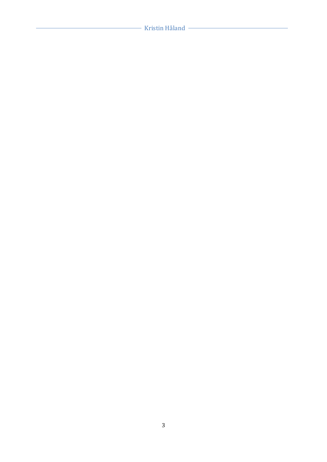### **Kristin Håland**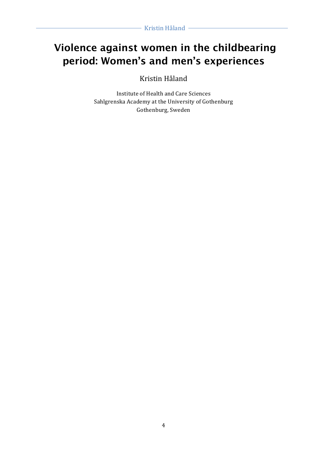## Violence against women in the childbearing period: Women's and men's experiences

Kristin Håland

Institute of Health and Care Sciences Sahlgrenska Academy at the University of Gothenburg Gothenburg, Sweden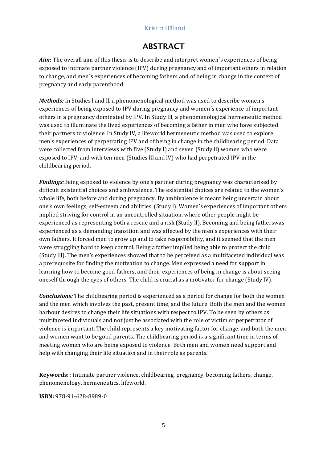### **ABSTRACT**

*Aim*: The overall aim of this thesis is to describe and interpret women's experiences of being exposed to intimate partner violence (IPV) during pregnancy and of important others in relation to change, and men's experiences of becoming fathers and of being in change in the context of pregnancy and early parenthood.

*Methods:* In Studies I and II, a phenomenological method was used to describe women's experiences of being exposed to IPV during pregnancy and women's experience of important others in a pregnancy dominated by IPV. In Study III, a phenomenological hermeneutic method was used to illuminate the lived experiences of becoming a father in men who have subjected their partners to violence. In Study IV, a lifeworld hermeneutic method was used to explore men's experiences of perpetrating IPV and of being in change in the childbearing period. Data were collected from interviews with five (Study l) and seven (Study ll) women who were exposed to IPV, and with ten men (Studies III and IV) who had perpetrated IPV in the childbearing period.

**Findings**: Being exposed to violence by one's partner during pregnancy was characterised by difficult existential choices and ambivalence. The existential choices are related to the women's whole life, both before and during pregnancy. By ambivalence is meant being uncertain about one's own feelings, self-esteem and abilities. (Study l). Women's experiences of important others implied striving for control in an uncontrolled situation, where other people might be experienced as representing both a rescue and a risk (Study II). Becoming and being fatherswas experienced as a demanding transition and was affected by the men's experiences with their own fathers. It forced men to grow up and to take responsibility, and it seemed that the men were struggling hard to keep control. Being a father implied being able to protect the child (Study III). The men's experiences showed that to be perceived as a multifaceted individual was a prerequisite for finding the motivation to change. Men expressed a need for support in learning how to become good fathers, and their experiences of being in change is about seeing oneself through the eyes of others. The child is crucial as a motivator for change (Study IV).

**Conclusions:** The childbearing period is experienced as a period for change for both the women and the men which involves the past, present time, and the future. Both the men and the women harbour desires to change their life situations with respect to IPV. To be seen by others as multifaceted individuals and not just be associated with the role of victim or perpetrator of violence is important. The child represents a key motivating factor for change, and both the men and women want to be good parents. The childbearing period is a significant time in terms of meeting women who are being exposed to violence. Both men and women need support and help with changing their life situation and in their role as parents.

**Keywords**: : Intimate partner violence, childbearing, pregnancy, becoming fathers, change, phenomenology, hermeneutics, lifeworld.

**ISBN:** 978-91-628-8989-0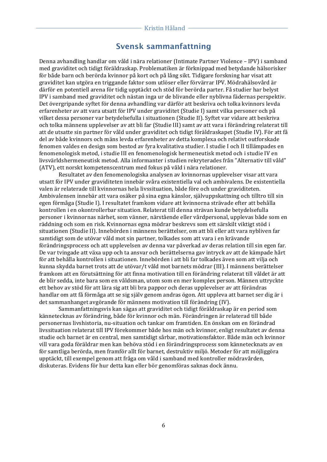### Svensk sammanfattning

Denna avhandling handlar om våld i nära relationer (Intimate Partner Violence – IPV) i samband med graviditet och tidigt föräldraskap. Problematiken är förknippad med betydande hälsorisker för både barn och berörda kvinnor på kort och på lång sikt. Tidigare forskning har visat att graviditet kan utgöra en triggande faktor som utlöser eller förvärrar IPV. Mödrahälsovård är därför en potentiell arena för tidig upptäckt och stöd för berörda parter. Få studier har belyst IPV i samband med graviditet och nästan inga ur de blivande eller nyblivna fädernas perspektiv. Det övergripande syftet för denna avhandling var därför att beskriva och tolka kvinnors levda erfarenheter av att vara utsatt för IPV under graviditet (Studie I) samt vilka personer och på vilket dessa personer var betydelsefulla i situationen (Studie II). Syftet var vidare att beskriva och tolka männens upplevelser av att bli far (Studie III) samt av att vara i förändring relaterat till att de utsatte sin partner för våld under graviditet och tidigt föräldraskapet (Studie IV). För att få del av både kvinnors och mäns levda erfarenheter av detta komplexa och relativt outforskade fenomen valdes en design som bestod av fyra kvalitativa studier. I studie I och II tillämpades en fenomenologisk metod, i studie III en fenomenologisk hermeneutisk metod och i studie IV en livsvärldshermeneutisk metod. Alla informanter i studien rekryterades från "Alternativ till våld" (ATV), ett norskt kompetenscentrum med fokus på våld i nära relationer.

Resultatet av den fenomenologiska analysen av kvinnornas upplevelser visar att vara utsatt för IPV under graviditeten innebär svåra existentiella val och ambivalens. De existentiella valen är relaterade till kvinnornas hela livssituation, både före och under graviditeten. Ambivalensen innebär att vara osäker på sina egna känslor, självuppskattning och tilltro till sin egen förmåga (Studie I). I resultatet framkom vidare att kvinnorna strävade efter att behålla kontrollen i en okontrollerbar situation. Relaterat till denna strävan kunde betydelsefulla personer i kvinnornas närhet, som vänner, närstående eller vårdpersonal, upplevas både som en räddning och som en risk. Kvinnornas egna mödrar beskrevs som ett särskilt viktigt stöd i situationen (Studie II). Innebörden i männens berättelser, om att bli eller att vara nybliven far samtidigt som de utövar våld mot sin partner, tolkades som att vara i en krävande förändringsprocess och att upplevelsen av denna var påverkad av deras relation till sin egen far. De var tvingade att växa upp och ta ansvar och berättelserna gav intryck av att de kämpade hårt för att behålla kontrollen i situationen. Innebörden i att bli far tolkades även som att vilja och kunna skydda barnet trots att de utövar/t våld mot barnets mödrar (III). I männens berättelser framkom att en förutsättning för att finna motivation till en förändring relaterat till våldet är att de blir sedda, inte bara som en våldsman, utom som en mer komplex person. Männen uttryckte ett behov av stöd för att lära sig att bli bra pappor och deras upplevelser av att förändras handlar om att få förmåga att se sig själv genom andras ögon. Att uppleva att barnet ser dig är i det sammanhanget avgörande för männens motivation till förändring (IV).

Sammanfattningsvis kan sägas att graviditet och tidigt föräldraskap är en period som kännetecknas av förändring, både för kvinnor och män. Förändringen är relaterad till både personernas livshistoria, nu-situation och tankar om framtiden. En önskan om en förändrad livssituation relaterat till IPV förekommer både hos män och kvinnor, enligt resultatet av denna studie och barnet är en central, men samtidigt sårbar, motivationsfaktor. Både män och kvinnor vill vara goda föräldrar men kan behöva stöd i en förändringsprocess som kännetecknats av en för samtliga berörda, men framför allt för barnet, destruktiv miljö. Metoder för att möjliggöra upptäckt, till exempel genom att fråga om våld i samband med kontroller mödravården, diskuteras. Evidens för hur detta kan eller bör genomföras saknas dock ännu.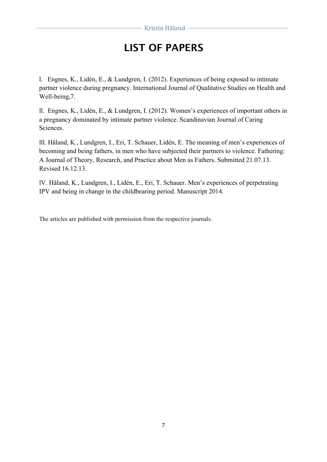## LIST OF PAPERS

l. Engnes, K., Lidén, E., & Lundgren, I. (2012). Experiences of being exposed to intimate partner violence during pregnancy. International Journal of Qualitative Studies on Health and Well-being,7.

ll. Engnes, K., Lidén, E., & Lundgren, I. (2012). Women's experiences of important others in a pregnancy dominated by intimate partner violence. Scandinavian Journal of Caring Sciences.

lll. Håland, K., Lundgren, I., Eri, T. Schauer, Lidén, E. The meaning of men's experiences of becoming and being fathers, in men who have subjected their partners to violence. Fathering: A Journal of Theory, Research, and Practice about Men as Fathers. Submitted 21.07.13. Revised 16.12.13.

lV. Håland, K., Lundgren, I., Lidén, E., Eri, T. Schauer. Men's experiences of perpetrating IPV and being in change in the childbearing period. Manuscript 2014.

The articles are published with permission from the respective journals.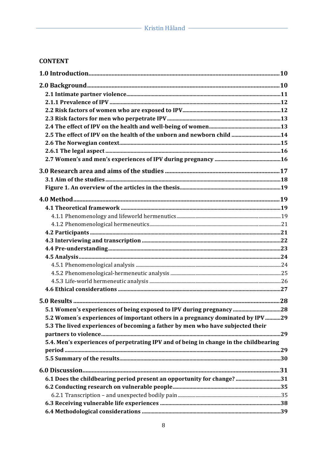### **CONTENT**

| 2.5 The effect of IPV on the health of the unborn and newborn child  14               |  |
|---------------------------------------------------------------------------------------|--|
|                                                                                       |  |
|                                                                                       |  |
|                                                                                       |  |
|                                                                                       |  |
|                                                                                       |  |
|                                                                                       |  |
|                                                                                       |  |
|                                                                                       |  |
|                                                                                       |  |
|                                                                                       |  |
|                                                                                       |  |
|                                                                                       |  |
|                                                                                       |  |
|                                                                                       |  |
|                                                                                       |  |
|                                                                                       |  |
|                                                                                       |  |
|                                                                                       |  |
|                                                                                       |  |
| 5.1 Women's experiences of being exposed to IPV during pregnancy 28                   |  |
| 5.2 Women's experiences of important others in a pregnancy dominated by IPV 29        |  |
| 5.3 The lived experiences of becoming a father by men who have subjected their        |  |
|                                                                                       |  |
| 5.4. Men's experiences of perpetrating IPV and of being in change in the childbearing |  |
|                                                                                       |  |
|                                                                                       |  |
|                                                                                       |  |
| 6.1 Does the childbearing period present an opportunity for change?31                 |  |
|                                                                                       |  |
|                                                                                       |  |
|                                                                                       |  |
|                                                                                       |  |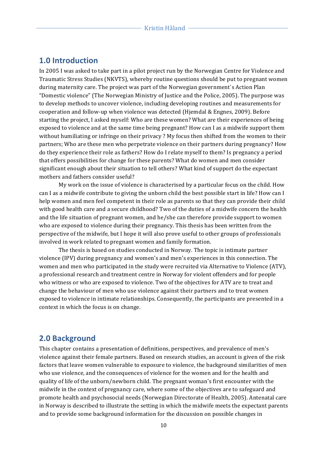### **1.0 Introduction**

In 2005 I was asked to take part in a pilot project run by the Norwegian Centre for Violence and Traumatic Stress Studies (NKVTS), whereby routine questions should be put to pregnant women during maternity care. The project was part of the Norwegian government's Action Plan "Domestic violence" (The Norwegian Ministry of Justice and the Police, 2005). The purpose was to develop methods to uncover violence, including developing routines and measurements for cooperation and follow-up when violence was detected (Hjemdal & Engnes, 2009). Before starting the project, I asked myself: Who are these women? What are their experiences of being exposed to violence and at the same time being pregnant? How can I as a midwife support them without humiliating or infringe on their privacy? My focus then shifted from the women to their partners; Who are these men who perpetrate violence on their partners during pregnancy? How do they experience their role as fathers? How do I relate myself to them? Is pregnancy a period that offers possibilities for change for these parents? What do women and men consider significant enough about their situation to tell others? What kind of support do the expectant mothers and fathers consider useful?

My work on the issue of violence is characterised by a particular focus on the child. How can I as a midwife contribute to giving the unborn child the best possible start in life? How can I help women and men feel competent in their role as parents so that they can provide their child with good health care and a secure childhood? Two of the duties of a midwife concern the health and the life situation of pregnant women, and he/she can therefore provide support to women who are exposed to violence during their pregnancy. This thesis has been written from the perspective of the midwife, but I hope it will also prove useful to other groups of professionals involved in work related to pregnant women and family formation.

The thesis is based on studies conducted in Norway. The topic is intimate partner violence (IPV) during pregnancy and women's and men's experiences in this connection. The women and men who participated in the study were recruited via Alternative to Violence (ATV), a professional research and treatment centre in Norway for violent offenders and for people who witness or who are exposed to violence. Two of the objectives for ATV are to treat and change the behaviour of men who use violence against their partners and to treat women exposed to violence in intimate relationships. Consequently, the participants are presented in a context in which the focus is on change.

### **2.0 Background**

This chapter contains a presentation of definitions, perspectives, and prevalence of men's violence against their female partners. Based on research studies, an account is given of the risk factors that leave women vulnerable to exposure to violence, the background similarities of men who use violence, and the consequences of violence for the women and for the health and quality of life of the unborn/newborn child. The pregnant woman's first encounter with the midwife in the context of pregnancy care, where some of the objectives are to safeguard and promote health and psychosocial needs (Norwegian Directorate of Health, 2005). Antenatal care in Norway is described to illustrate the setting in which the midwife meets the expectant parents and to provide some background information for the discussion on possible changes in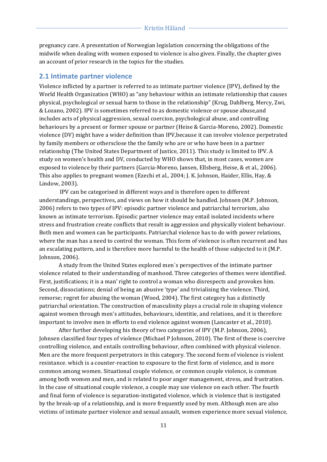pregnancy care. A presentation of Norwegian legislation concerning the obligations of the midwife when dealing with women exposed to violence is also given. Finally, the chapter gives an account of prior research in the topics for the studies.

#### **2.1 Intimate partner violence**

Violence inflicted by a partner is referred to as intimate partner violence (IPV), defined by the World Health Organization (WHO) as "any behaviour within an intimate relationship that causes physical, psychological or sexual harm to those in the relationship" (Krug, Dahlberg, Mercy, Zwi, & Lozano, 2002). IPV is sometimes referred to as domestic violence or spouse abuse,and includes acts of physical aggression, sexual coercion, psychological abuse, and controlling behaviours by a present or former spouse or partner (Heise & Garcia-Moreno, 2002). Domestic violence (DV) might have a wider definition than IPV, because it can involve violence perpetrated by family members or othersclose the the family who are or who have been in a partner relationship (The United States Department of Justice, 2011). This study is limited to IPV. A study on women's health and DV, conducted by WHO shows that, in most cases, women are exposed to violence by their partners (Garcia-Moreno, Jansen, Ellsberg, Heise, & et al., 2006). This also applies to pregnant women (Ezechi et al., 2004; J. K. Johnson, Haider, Ellis, Hay, & Lindow, 2003).

IPV can be categorised in different ways and is therefore open to different understandings, perspectives, and views on how it should be handled. Johnsen (M.P. Johnson, 2006) refers to two types of IPV: episodic partner violence and patriarchal terrorism, also known as intimate terrorism. Episodic partner violence may entail isolated incidents where stress and frustration create conflicts that result in aggression and physically violent behaviour. Both men and women can be participants. Patriarchal violence has to do with power relations, where the man has a need to control the woman. This form of violence is often recurrent and has an escalating pattern, and is therefore more harmful to the health of those subjected to it (M.P. Johnson, 2006).

A study from the United States explored men's perspectives of the intimate partner violence related to their understanding of manhood. Three categories of themes were identified. First, justifications; it is a man' right to control a woman who disrespects and provokes him. Second, dissociations; denial of being an abusive 'type' and trivialising the violence. Third, remorse; regret for abusing the woman (Wood, 2004). The first category has a distinctly patriarchal orientation. The construction of masculinity plays a crucial role in shaping violence against women through men's attitudes, behaviours, identitie, and relations, and it is therefore important to involve men in efforts to end violence against women (Lancaster et al., 2010).

After further developing his theory of two categories of IPV (M.P. Johnson, 2006), Johnsen classified four types of violence (Michael P Johnson, 2010). The first of these is coercive controlling violence, and entails controlling behaviour, often combined with physical violence. Men are the more frequent perpetrators in this category. The second form of violence is violent resistance. which is a counter-reaction to exposure to the first form of violence, and is more common among women. Situational couple violence, or common couple violence, is common among both women and men, and is related to poor anger management, stress, and frustration. In the case of situational couple violence, a couple may use violence on each other. The fourth and final form of violence is separation-instigated violence, which is violence that is instigated by the break-up of a relationship, and is more frequently used by men. Although men are also victims of intimate partner violence and sexual assault, women experience more sexual violence,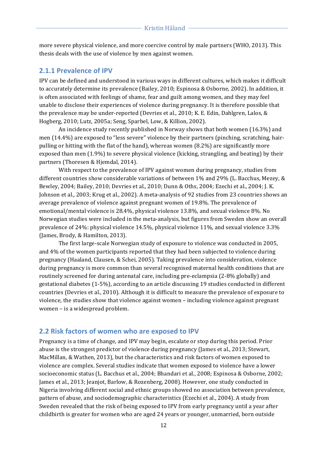more severe physical violence, and more coercive control by male partners (WHO, 2013). This thesis deals with the use of violence by men against women.

### **2.1.1 Prevalence of IPV**

IPV can be defined and understood in various ways in different cultures, which makes it difficult to accurately determine its prevalence (Bailey, 2010; Espinosa & Osborne, 2002). In addition, it is often associated with feelings of shame, fear and guilt among women, and they may feel unable to disclose their experiences of violence during pregnancy. It is therefore possible that the prevalence may be under-reported (Devries et al., 2010; K. E. Edin, Dahlgren, Lalos, & Hogberg, 2010; Lutz, 2005a; Seng, Sparbel, Low, & Killion, 2002).

An incidence study recently published in Norway shows that both women  $(16.3\%)$  and men  $(14.4\%)$  are exposed to "less severe" violence by their partners (pinching, scratching, hairpulling or hitting with the flat of the hand), whereas women  $(8.2%)$  are significantly more exposed than men  $(1.9\%)$  to severe physical violence (kicking, strangling, and beating) by their partners (Thoresen & Hjemdal, 2014).

With respect to the prevalence of IPV against women during pregnancy, studies from different countries show considerable variations of between  $1\%$  and  $29\%$  (L. Bacchus, Mezey, & Bewley, 2004; Bailey, 2010; Devries et al., 2010; Dunn & Oths, 2004; Ezechi et al., 2004; J. K. Johnson et al., 2003; Krug et al., 2002). A meta-analysis of 92 studies from 23 countries shows an average prevalence of violence against pregnant women of 19.8%. The prevalence of emotional/mental violence is 28.4%, physical violence 13.8%, and sexual violence 8%. No Norwegian studies were included in the meta-analysis, but figures from Sweden show an overall prevalence of  $24\%$ : physical violence  $14.5\%$ , physical violence  $11\%$ , and sexual violence  $3.3\%$ (James, Brody, & Hamilton, 2013).

The first large-scale Norwegian study of exposure to violence was conducted in 2005, and  $4\%$  of the women participants reported that they had been subjected to violence during pregnancy (Haaland, Clausen, & Schei, 2005). Taking prevalence into consideration, violence during pregnancy is more common than several recognised maternal health conditions that are routinely screened for during antenatal care, including pre-eclampsia (2-8% globally) and gestational diabetes (1-5%), according to an article discussing 19 studies conducted in different countries (Devries et al., 2010). Although it is difficult to measure the prevalence of exposure to violence, the studies show that violence against women – including violence against pregnant women - is a widespread problem.

#### **2.2 Risk factors of women who are exposed to IPV**

Pregnancy is a time of change, and IPV may begin, escalate or stop during this period. Prior abuse is the strongest predictor of violence during pregnancy (James et al., 2013; Stewart, MacMillan, & Wathen, 2013), but the characteristics and risk factors of women exposed to violence are complex. Several studies indicate that women exposed to violence have a lower socioeconomic status (L. Bacchus et al., 2004; Bhandari et al., 2008; Espinosa & Osborne, 2002; James et al., 2013; Jeanjot, Barlow, & Rozenberg, 2008). However, one study conducted in Nigeria involving different social and ethnic groups showed no association between prevalence, pattern of abuse, and sociodemographic characteristics (Ezechi et al., 2004). A study from Sweden revealed that the risk of being exposed to IPV from early pregnancy until a year after childbirth is greater for women who are aged 24 years or younger, unmarried, born outside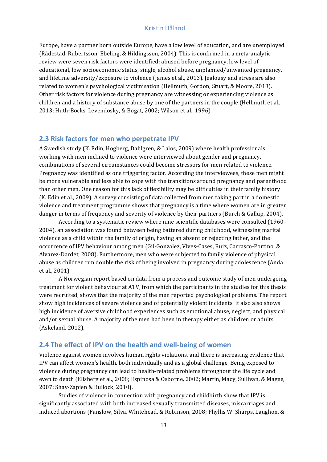Europe, have a partner born outside Europe, have a low level of education, and are unemployed (Rådestad, Rubertsson, Ebeling, & Hildingsson, 2004). This is confirmed in a meta-analytic review were seven risk factors were identified: abused before pregnancy, low level of educational, low socioeconomic status, single, alcohol abuse, unplanned/unwanted pregnancy, and lifetime adversity/exposure to violence (James et al., 2013). Jealousy and stress are also related to women's psychological victimisation (Hellmuth, Gordon, Stuart, & Moore, 2013). Other risk factors for violence during pregnancy are witnessing or experiencing violence as children and a history of substance abuse by one of the partners in the couple (Hellmuth et al., 2013; Huth-Bocks, Levendosky, & Bogat, 2002; Wilson et al., 1996).

#### **2.3 Risk factors for men who perpetrate IPV**

A Swedish study (K. Edin, Hogberg, Dahlgren, & Lalos, 2009) where health professionals working with men inclined to violence were interviewed about gender and pregnancy, combinations of several circumstances could become stressors for men related to violence. Pregnancy was identified as one triggering factor. According the interviewees, these men might be more vulnerable and less able to cope with the transitions around pregnancy and parenthood than other men, One reason for this lack of flexibility may be difficulties in their family history (K. Edin et al., 2009). A survey consisting of data collected from men taking part in a domestic violence and treatment programme shows that pregnancy is a time where women are in greater danger in terms of frequency and severity of violence by their partners (Burch & Gallup, 2004).

According to a systematic review where nine scientific databases were consulted (1960– 2004), an association was found between being battered during childhood, witnessing marital violence as a child within the family of origin, having an absent or rejecting father, and the occurrence of IPV behaviour among men (Gil-Gonzalez, Vives-Cases, Ruiz, Carrasco-Portino, & Alvarez-Dardet, 2008). Furthermore, men who were subjected to family violence of physical abuse as children run double the risk of being involved in pregnancy during adolescence (Anda et al., 2001).

A Norwegian report based on data from a process and outcome study of men undergoing treatment for violent behaviour at ATV, from which the participants in the studies for this thesis were recruited, shows that the majority of the men reported psychological problems. The report show high incidences of severe violence and of potentially violent incidents. It also also shows high incidence of aversive childhood experiences such as emotional abuse, neglect, and physical and/or sexual abuse. A majority of the men had been in therapy either as children or adults (Askeland, 2012).

#### **2.4** The effect of IPV on the health and well-being of women

Violence against women involves human rights violations, and there is increasing evidence that IPV can affect women's health, both individually and as a global challenge. Being exposed to violence during pregnancy can lead to health-related problems throughout the life cycle and even to death (Ellsberg et al., 2008; Espinosa & Osborne, 2002; Martin, Macy, Sullivan, & Magee, 2007; Shay-Zapien & Bullock, 2010).

Studies of violence in connection with pregnancy and childbirth show that IPV is significantly associated with both increased sexually transmitted diseases, miscarriages, and induced abortions (Fanslow, Silva, Whitehead, & Robinson, 2008; Phyllis W. Sharps, Laughon, &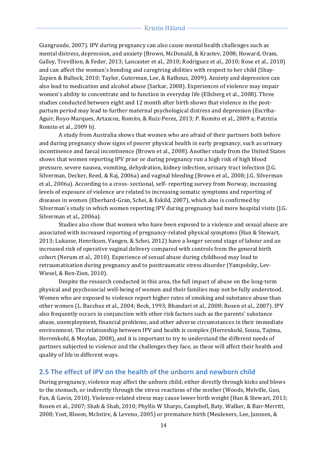Giangrande, 2007). IPV during pregnancy can also cause mental health challenges such as mental distress, depression, and anxiety (Brown, McDonald, & Krastev, 2008; Howard, Oram, Galley, Trevillion, & Feder, 2013; Lancaster et al., 2010; Rodriguez et al., 2010; Rose et al., 2010) and can affect the woman's bonding and caregiving abilities with respect to her child (Shay-Zapien & Bullock, 2010; Taylor, Guterman, Lee, & Rathouz, 2009). Anxiety and depression can also lead to medication and alcohol abuse (Sarkar, 2008). Experiences of violence may impair women's ability to concentrate and to function in everyday life (Ellsberg et al., 2008). Three studies conducted between eight and 12 month after birth shows that violence in the postpartum period may lead to further maternal psychological distress and depression (Escriba-Aguir, Royo-Marques, Artazcoz, Romito, & Ruiz-Perez, 2013; P. Romito et al., 2009 a; Patrizia Romito et al., 2009 b).

A study from Australia shows that women who are afraid of their partners both before and during pregnancy show signs of poorer physical health in early pregnancy, such as urinary incontinence and faecal incontinence (Brown et al., 2008). Another study from the United States shows that women reporting IPV prior or during pregnancy run a high risk of high blood pressure, severe nausea, vomiting, dehydration, kidney infection, urinary tract infection (I.G. Silverman, Decker, Reed, & Raj, 2006a) and vaginal bleeding (Brown et al., 2008; J.G. Silverman et al., 2006a). According to a cross- sectional, self- reporting survey from Norway, increasing levels of exposure of violence are related to increasing somatic symptoms and reporting of diseases in women (Eberhard-Gran, Schei, & Eskild, 2007), which also is confirmed by Silverman's study in which women reporting IPV during pregnancy had more hospital visits  $($ I.G. Silverman et al., 2006a).

Studies also show that women who have been exposed to a violence and sexual abuse are associated with increased reporting of pregnancy-related physical symptoms (Han & Stewart, 2013; Lukasse, Henriksen, Vangen, & Schei, 2012) have a longer second stage of labour and an increased risk of operative vaginal delivery compared with controls from the general birth cohort (Nerum et al., 2010). Experience of sexual abuse during childhood may lead to retraumatisation during pregnancy and to posttraumatic stress disorder (Yampolsky, Lev-Wiesel, & Ben-Zion, 2010).

Despite the research conducted in this area, the full impact of abuse on the long-term physical and psychosocial well-being of women and their families may not be fully understood. Women who are exposed to violence report higher rates of smoking and substance abuse than other women (L. Bacchus et al., 2004; Beck, 1993; Bhandari et al., 2008; Rosen et al., 2007). IPV also frequently occurs in conjunction with other risk factors such as the parents' substance abuse, unemployment, financial problems, and other adverse circumstances in their immediate environment. The relationship between IPV and health is complex (Herrenkohl, Sousa, Tajima, Herrenkohl, & Moylan, 2008), and it is important to try to understand the different needs of partners subjected to violence and the challenges they face, as these will affect their health and quality of life in different ways.

#### **2.5 The effect of IPV on the health of the unborn and newborn child**

During pregnancy, violence may affect the unborn child; either directly through kicks and blows to the stomach, or indirectly through the stress reactions of the mother (Woods, Melville, Guo, Fan, & Gavin, 2010). Violence-related stress may cause lower birth weight (Han & Stewart, 2013; Rosen et al., 2007; Shah & Shah, 2010; Phyllis W Sharps, Campbell, Baty, Walker, & Bair-Merritt, 2008; Yost, Bloom, McIntire, & Leveno, 2005) or premature birth (Meuleners, Lee, Janssen, &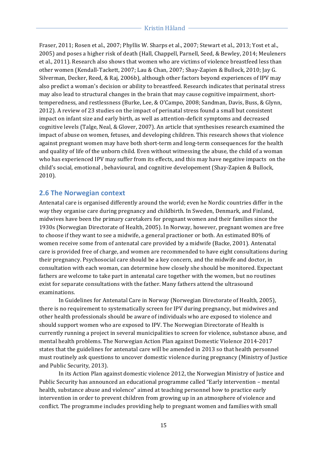Fraser, 2011; Rosen et al., 2007; Phyllis W. Sharps et al., 2007; Stewart et al., 2013; Yost et al., 2005) and poses a higher risk of death (Hall, Chappell, Parnell, Seed, & Bewley, 2014; Meuleners et al., 2011). Research also shows that women who are victims of violence breastfeed less than other women (Kendall-Tackett, 2007; Lau & Chan, 2007; Shay-Zapien & Bullock, 2010; Jay G. Silverman, Decker, Reed, & Raj, 2006b), although other factors beyond experiences of IPV may also predict a woman's decision or ability to breastfeed. Research indicates that perinatal stress may also lead to structural changes in the brain that may cause cognitive impairment, shorttemperedness, and restlessness (Burke, Lee, & O'Campo, 2008; Sandman, Davis, Buss, & Glynn, 2012). A review of 23 studies on the impact of perinatal stress found a small but consistent impact on infant size and early birth, as well as attention-deficit symptoms and decreased cognitive levels (Talge, Neal, & Glover, 2007). An article that synthesises research examined the impact of abuse on women, fetuses, and developing children. This research shows that violence against pregnant women may have both short-term and long-term consequences for the health and quality of life of the unborn child. Even without witnessing the abuse, the child of a woman who has experienced IPV may suffer from its effects, and this may have negative impacts on the child's social, emotional, behavioural, and cognitive developement (Shay-Zapien & Bullock, 2010). 

### **2.6 The Norwegian context**

Antenatal care is organised differently around the world; even he Nordic countries differ in the way they organise care during pregnancy and childbirth. In Sweden, Denmark, and Finland, midwives have been the primary caretakers for pregnant women and their families since the 1930s (Norwegian Directorate of Health, 2005). In Norway, however, pregnant women are free to choose if they want to see a midwife, a general practioner or both. An estimated 80% of women receive some from of antenatal care provided by a midwife (Backe, 2001). Antenatal care is provided free of charge, and women are recommended to have eight consultations during their pregnancy. Psychosocial care should be a key concern, and the midwife and doctor, in consultation with each woman, can determine how closely she should be monitored. Expectant fathers are welcome to take part in antenatal care together with the women, but no routines exist for separate consultations with the father. Many fathers attend the ultrasound examinations. 

In Guidelines for Antenatal Care in Norway (Norwegian Directorate of Health, 2005), there is no requirement to systematically screen for IPV during pregnancy, but midwives and other health professionals should be aware of individuals who are exposed to violence and should support women who are exposed to IPV. The Norwegian Directorate of Health is currently running a project in several municipalities to screen for violence, substance abuse, and mental health problems. The Norwegian Action Plan against Domestic Violence 2014-2017 states that the guidelines for antenatal care will be amended in 2013 so that health personnel must routinely ask questions to uncover domestic violence during pregnancy (Ministry of Justice and Public Security, 2013).

In its Action Plan against domestic violence 2012, the Norwegian Ministry of Justice and Public Security has announced an educational programme called "Early intervention – mental health, substance abuse and violence" aimed at teaching personnel how to practice early intervention in order to prevent children from growing up in an atmosphere of violence and conflict. The programme includes providing help to pregnant women and families with small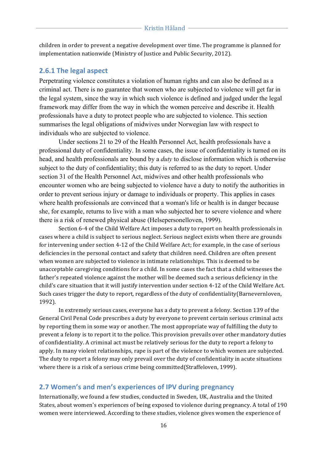children in order to prevent a negative development over time. The programme is planned for implementation nationwide (Ministry of Justice and Public Security, 2012).

#### **2.6.1 The legal aspect**

Perpetrating violence constitutes a violation of human rights and can also be defined as a criminal act. There is no guarantee that women who are subjected to violence will get far in the legal system, since the way in which such violence is defined and judged under the legal framework may differ from the way in which the women perceive and describe it. Health professionals have a duty to protect people who are subjected to violence. This section summarises the legal obligations of midwives under Norwegian law with respect to individuals who are subjected to violence.

Under sections 21 to 29 of the Health Personnel Act, health professionals have a professional duty of confidentiality. In some cases, the issue of confidentiality is turned on its head, and health professionals are bound by a *duty* to disclose information which is otherwise subject to the duty of confidentiality; this duty is referred to as the duty to report. Under section 31 of the Health Personnel Act, midwives and other health professionals who encounter women who are being subjected to violence have a duty to notify the authorities in order to prevent serious injury or damage to individuals or property. This applies in cases where health professionals are convinced that a woman's life or health is in danger because she, for example, returns to live with a man who subjected her to severe violence and where there is a risk of renewed physical abuse (Helsepersonelloven, 1999).

Section 6-4 of the Child Welfare Act imposes a duty to report on health professionals in cases where a child is subject to serious neglect. Serious neglect exists when there are grounds for intervening under section 4-12 of the Child Welfare Act; for example, in the case of serious deficiencies in the personal contact and safety that children need. Children are often present when women are subjected to violence in intimate relationships. This is deemed to be unacceptable caregiving conditions for a child. In some cases the fact that a child witnesses the father's repeated violence against the mother will be deemed such a serious deficiency in the child's care situation that it will justify intervention under section 4-12 of the Child Welfare Act. Such cases trigger the duty to report, regardless of the duty of confidentiality(Barnevernloven, 1992).

In extremely serious cases, everyone has a duty to prevent a felony. Section 139 of the General Civil Penal Code prescribes a duty by everyone to prevent certain serious criminal acts by reporting them in some way or another. The most appropriate way of fulfilling the duty to prevent a felony is to report it to the police. This provision prevails over other mandatory duties of confidentiality. A criminal act must be relatively serious for the duty to report a felony to apply. In many violent relationships, rape is part of the violence to which women are subjected. The duty to report a felony may only prevail over the duty of confidentiality in acute situations where there is a risk of a serious crime being committed(Straffeloven, 1999).

### **2.7 Women's and men's experiences of IPV during pregnancy**

Internationally, we found a few studies, conducted in Sweden, UK, Australia and the United States, about women's experiences of being exposed to violence during pregnancy. A total of 190 women were interviewed. According to these studies, violence gives women the experience of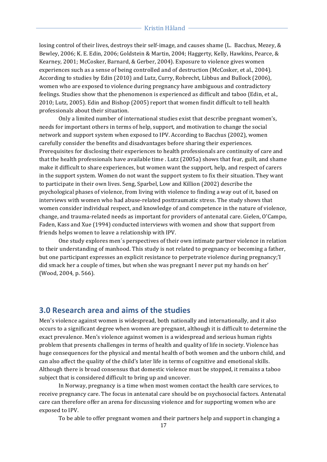losing control of their lives, destroys their self-image, and causes shame (L. Bacchus, Mezey, & Bewley, 2006; K. E. Edin, 2006; Goldstein & Martin, 2004; Haggerty, Kelly, Hawkins, Pearce, & Kearney, 2001; McCosker, Barnard, & Gerber, 2004). Exposure to violence gives women experiences such as a sense of being controlled and of destruction (McCosker, et al., 2004). According to studies by Edin (2010) and Lutz, Curry, Robrecht, Libbus and Bullock (2006), women who are exposed to violence during pregnancy have ambiguous and contradictory feelings. Studies show that the phenomenon is experienced as difficult and taboo (Edin, et al., 2010; Lutz, 2005). Edin and Bishop (2005) report that women findit difficult to tell health professionals about their situation.

Only a limited number of international studies exist that describe pregnant women's, needs for important others in terms of help, support, and motivation to change the social network and support system when exposed to IPV. According to Bacchus (2002), women carefully consider the benefits and disadvantages before sharing their experiences. Prerequisites for disclosing their experiences to health professionals are continuity of care and that the health professionals have available time . Lutz  $(2005a)$  shows that fear, guilt, and shame make it difficult to share experiences, but women want the support, help, and respect of carers in the support system. Women do not want the support system to fix their situation. They want to participate in their own lives. Seng, Sparbel, Low and Killion (2002) describe the psychological phases of violence, from living with violence to finding a way out of it, based on interviews with women who had abuse-related posttraumatic stress. The study shows that women consider individual respect, and knowledge of and competence in the nature of violence, change, and trauma-related needs as important for providers of antenatal care. Gielen, O'Campo, Faden, Kass and Xue (1994) conducted interviews with women and show that support from friends helps women to leave a relationship with IPV.

One study explores men's perspectives of their own intimate partner violence in relation to their understanding of manhood. This study is not related to pregnancy or becoming a father, but one participant expresses an explicit resistance to perpetrate violence during pregnancy;'I did smack her a couple of times, but when she was pregnant I never put my hands on her' (Wood, 2004, p. 566).

### **3.0 Research area and aims of the studies**

Men's violence against women is widespread, both nationally and internationally, and it also occurs to a significant degree when women are pregnant, although it is difficult to determine the exact prevalence. Men's violence against women is a widespread and serious human rights problem that presents challenges in terms of health and quality of life in society. Violence has huge consequences for the physical and mental health of both women and the unborn child, and can also affect the quality of the child's later life in terms of cognitive and emotional skills. Although there is broad consensus that domestic violence must be stopped, it remains a taboo subject that is considered difficult to bring up and uncover.

In Norway, pregnancy is a time when most women contact the health care services, to receive pregnancy care. The focus in antenatal care should be on psychosocial factors. Antenatal care can therefore offer an arena for discussing violence and for supporting women who are exposed to IPV.

To be able to offer pregnant women and their partners help and support in changing a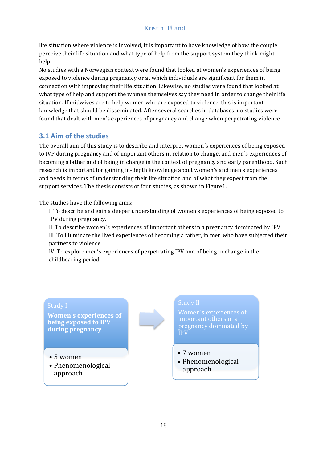life situation where violence is involved, it is important to have knowledge of how the couple perceive their life situation and what type of help from the support system they think might help. 

No studies with a Norwegian context were found that looked at women's experiences of being exposed to violence during pregnancy or at which individuals are significant for them in connection with improving their life situation. Likewise, no studies were found that looked at what type of help and support the women themselves say they need in order to change their life situation. If midwives are to help women who are exposed to violence, this is important knowledge that should be disseminated. After several searches in databases, no studies were found that dealt with men's experiences of pregnancy and change when perpetrating violence.

### **3.1 Aim of the studies**

The overall aim of this study is to describe and interpret women's experiences of being exposed to IVP during pregnancy and of important others in relation to change, and men's experiences of becoming a father and of being in change in the context of pregnancy and early parenthood. Such research is important for gaining in-depth knowledge about women's and men's experiences and needs in terms of understanding their life situation and of what they expect from the support services. The thesis consists of four studies, as shown in Figure1.

The studies have the following aims:

l To describe and gain a deeper understanding of women's experiences of being exposed to IPV during pregnancy.

Il To describe women's experiences of important others in a pregnancy dominated by IPV. Ill To illuminate the lived experiences of becoming a father, in men who have subjected their partners to violence.

IV To explore men's experiences of perpetrating IPV and of being in change in the childbearing period.

#### Study I

**Women's experiences of being exposed to IPV during pregnancy**

- 5 women
- Phenomenological approach

Women's experiences of important others in a pregnancy dominated by IPV

- 7 women
- Phenomenological approach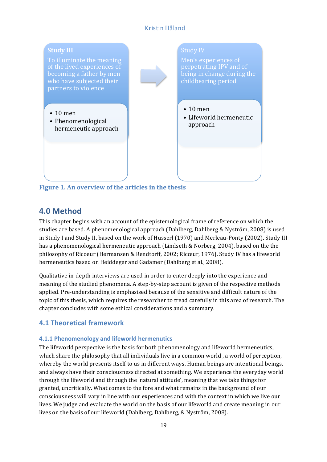

**Figure 1. An overview of the articles in the thesis** 

## **4.0 Method**

This chapter begins with an account of the epistemological frame of reference on which the studies are based. A phenomenological approach (Dahlberg, Dahlberg & Nyström, 2008) is used in Study I and Study II, based on the work of Husserl (1970) and Merleau-Ponty (2002). Study III has a phenomenological hermeneutic approach (Lindseth & Norberg, 2004), based on the the philosophy of Ricoeur (Hermansen & Rendtorff, 2002; Ricœur, 1976). Study IV has a lifeworld hermeneutics based on Heiddeger and Gadamer (Dahlberg et al., 2008).

Qualitative in-depth interviews are used in order to enter deeply into the experience and meaning of the studied phenomena. A step-by-step account is given of the respective methods applied. Pre-understanding is emphasised because of the sensitive and difficult nature of the topic of this thesis, which requires the researcher to tread carefully in this area of research. The chapter concludes with some ethical considerations and a summary.

### **4.1 Theoretical framework**

### **4.1.1 Phenomenology and lifeworld hermenutics**

The lifeworld perspective is the basis for both phenomenology and lifeworld hermeneutics, which share the philosophy that all individuals live in a common world, a world of perception, whereby the world presents itself to us in different ways. Human beings are intentional beings, and always have their consciousness directed at something. We experience the everyday world through the lifeworld and through the 'natural attitude', meaning that we take things for granted, uncritically. What comes to the fore and what remains in the background of our consciousness will vary in line with our experiences and with the context in which we live our lives. We judge and evaluate the world on the basis of our lifeworld and create meaning in our lives on the basis of our lifeworld (Dahlberg, Dahlberg, & Nyström, 2008).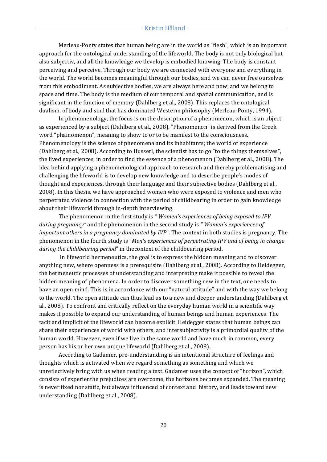Merleau-Ponty states that human being are in the world as "flesh", which is an important approach for the ontological understanding of the lifeworld. The body is not only biological but also subjectiv, and all the knowledge we develop is embodied knowing. The body is constant perceiving and perceive. Through our body we are connected with everyone and everything in the world. The world becomes meaningful through our bodies, and we can never free ourselves from this embodiment. As subjective bodies, we are always here and now, and we belong to space and time. The body is the medium of our temporal and spatial communication, and is significant in the function of memory (Dahlberg et al., 2008). This replaces the ontological dualism, of body and soul that has dominated Westerm philosophy (Merleau-Ponty, 1994).

In phenomenology, the focus is on the description of a phenomenon, which is an object as experienced by a subject (Dahlberg et al., 2008). "Phenomenon" is derived from the Greek word "phainomenon", meaning to show to or to be manifest to the consciousness. Phenomenology is the science of phenomena and its inhabitants; the world of experience (Dahlberg et al., 2008). According to Husserl, the scientist has to go "to the things themselves", the lived experiences, in order to find the essence of a phenomenon (Dahlberg et al., 2008). The idea behind applying a phenomenological approach to research and thereby problematising and challenging the lifeworld is to develop new knowledge and to describe people's modes of thought and experiences, through their language and their subjective bodies (Dahlberg et al., 2008). In this thesis, we have approached women who were exposed to violence and men who perpetrated violence in connection with the period of childbearing in order to gain knowledge about their lifeworld through in-depth interviewing.

The phenomenon in the first study is "Women's experiences of being exposed to IPV during pregnancy" and the phenomenon in the second study is "Women's experiences of *important others in a pregnancy dominated by IVP"*. The context in both studies is pregnancy. The phenomenon in the fourth study is "Men's experiences of perpetrating IPV and of being in change *during the childbearing period*" in thecontext of the childbearing period.

In lifeworld hermeneutics, the goal is to express the hidden meaning and to discover anything new, where openness is a prerequisite (Dahlberg et al., 2008). According to Heidegger, the hermeneutic processes of understanding and interpreting make it possible to reveal the hidden meaning of phenomena. In order to discover something new in the text, one needs to have an open mind. This is in accordance with our "natural attitude" and with the way we belong to the world. The open attitude can thus lead us to a new and deeper understanding (Dahlberg et al., 2008). To confront and critically reflect on the everyday human world in a scientific way makes it possible to expand our understanding of human beings and human experiences. The tacit and implicit of the lifeworld can become explicit. Heidegger states that human beings can share their experiences of world with others, and intersubjectivity is a primordial quality of the human world. However, even if we live in the same world and have much in common, every person has his or her own unique lifeworld (Dahlberg et al., 2008).

According to Gadamer, pre-understanding is an intentional structure of feelings and thoughts which is activated when we regard something as something and which we unreflectively bring with us when reading a text. Gadamer uses the concept of "horizon", which consists of experienthe prejudices are overcome, the horizons becomes expanded. The meaning is never fixed nor static, but always influenced of context and history, and leads toward new understanding (Dahlberg et al., 2008).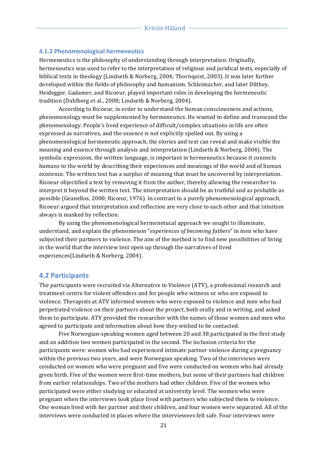#### **4.1.2 Phenomenological hermeneutics**

Hermeneutics is the philosophy of understanding through interpretation. Originally, hermeneutics was used to refer to the interpretation of religious and juridical texts, especially of biblical texts in theology (Lindseth & Norberg, 2004; Thornquist, 2003). It was later further developed within the fields of philosophy and humanism. Schleimacher, and later Dilthey, Heidegger, Gadamer, and Ricoeur, played important roles in developing the hermeneutic tradition (Dahlberg et al., 2008; Lindseth & Norberg, 2004).

According to Ricoeur, in order to understand the human consciousness and actions, phenomenology must be supplemented by hermeneutics. He wanted to define and transcend the phenomenology. People's lived experience of difficult/complex situations in life are often expressed as narratives, and the essence is not explicitly spelled out. By using a phenomenological hermeneutic approach, the stories and text can reveal and make visible the meaning and essence through analysis and interpretation (Lindseth & Norberg, 2004). The symbolic expression, the written language, is important in hermeneutics because it connects humans to the world by describing their experiences and meanings of the world and of human existence. The written text has a surplus of meaning that must be uncovered by interpretation. Ricoeur objectified a text by removing it from the author, thereby allowing the researcher to interpret it beyond the written text. The interpretation should be as truthful and as probable as possible (Geanellos, 2000; Ricœur, 1976). In contrast to a purely phenomenological approach, Ricoeur argued that interpretation and reflection are very close to each other and that intuition always is masked by reflection.

By using the phenomenological hermenetucal approach we sought to illuminate, understand, and explain the phenomenon "*experiences of becoming fathers*" in men who have subjected their partners to violence. The aim of the method is to find new possibilities of living in the world that the interview text open up through the narratives of lived experiences(Lindseth & Norberg, 2004).

#### **4.2 Participants**

The participants were recruited via Alternative to Violence (ATV), a professional research and treatment centre for violent offenders and for people who witness or who are exposed to violence. Therapists at ATV informed women who were exposed to violence and men who had perpetrated violence on their partners about the project, both orally and in writing, and asked them to participate. ATV provided the researcher with the names of those women and men who agreed to participate and information about how they wished to be contacted.

Five Norwegian-speaking women aged between 20 and 38 participated in the first study and an addition two women participated in the second. The inclusion criteria for the participants were: women who had experienced intimate partner violence during a pregnancy within the previous two years, and were Norwegian speaking. Two of the interviews were conducted on women who were pregnant and five were conducted on women who had already given birth. Five of the women were first-time mothers, but some of their partners had children from earlier relationships. Two of the mothers had other children. Five of the women who participated were either studying or educated at university level. The women who were pregnant when the interviews took place lived with partners who subjected them to violence. One woman lived with her partner and their children, and four women were separated. All of the interviews were conducted in places where the interviewees felt safe. Four interviews were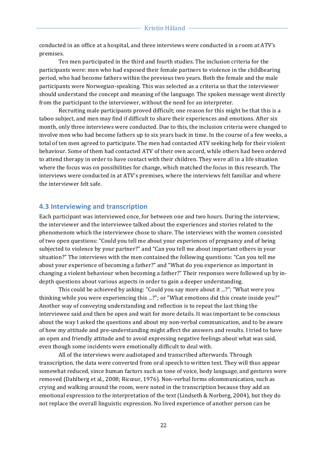conducted in an office at a hospital, and three interviews were conducted in a room at ATV's premises. 

Ten men participated in the third and fourth studies. The inclusion criteria for the participants were: men who had exposed their female partners to violence in the childbearing period, who had become fathers within the previous two years. Both the female and the male participants were Norwegian-speaking. This was selected as a criteria so that the interviewer should understand the concept and meaning of the language. The spoken message went directly from the participant to the interviewer, without the need for an interpreter.

Recruiting male participants proved difficult; one reason for this might be that this is a taboo subject, and men may find if difficult to share their experiences and emotions. After six month, only three interviews were conducted. Due to this, the inclusion criteria were changed to involve men who had become fathers up to six years back in time. In the course of a few weeks, a total of ten men agreed to participate. The men had contacted ATV seeking help for their violent behaviour. Some of them had contacted ATV of their own accord, while others had been ordered to attend therapy in order to have contact with their children. They were all in a life situation where the focus was on possibilities for change, which matched the focus in this research. The interviews were conducted in at ATV's premises, where the interviews felt familiar and where the interviewer felt safe.

#### **4.3** Interviewing and transcription

Each participant was interviewed once, for between one and two hours. During the interview, the interviewer and the interviewee talked about the experiences and stories related to the phenomenom which the interviewee chose to share. The interviews with the women consisted of two open questions: "Could you tell me about your experiences of pregnancy and of being subjected to violence by your partner?" and "Can you tell me about important others in your situation?" The interviews with the men contained the following questions: "Can you tell me about your experience of becoming a father?" and "What do you experience as important in changing a violent behaviour when becoming a father?" Their responses were followed up by indepth questions about various aspects in order to gain a deeper understanding.

This could be achieved by asking: "Could you say more about it ...?"; "What were you thinking while you were experiencing this ...?"; or "What emotions did this create inside you?" Another way of conveying understanding and reflection is to repeat the last thing the interviewee said and then be open and wait for more details. It was important to be conscious about the way I asked the questions and about my non-verbal communication, and to be aware of how my attitude and pre-understanding might affect the answers and results. I tried to have an open and friendly attitude and to avoid expressing negative feelings about what was said, even though some incidents were emotionally difficult to deal with.

All of the interviews were audiotaped and transcribed afterwards. Through transcription, the data were converted from oral speech to written text. They will thus appear somewhat reduced, since human factors such as tone of voice, body language, and gestures were removed (Dahlberg et al., 2008; Ricœur, 1976). Non-verbal forms of communication, such as crying and walking around the room, were noted in the transcription because they add an emotional expression to the interpretation of the text (Lindseth & Norberg, 2004), but they do not replace the overall linguistic expression. No lived experience of another person can be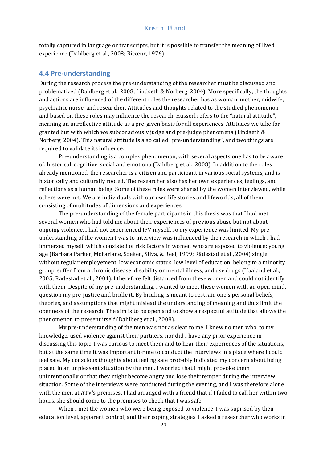totally captured in language or transcripts, but it is possible to transfer the meaning of lived experience (Dahlberg et al., 2008; Ricœur, 1976).

#### **4.4 Pre-understanding**

During the research process the pre-understanding of the researcher must be discussed and problematized (Dahlberg et al., 2008; Lindseth & Norberg, 2004). More specifically, the thoughts and actions are influenced of the different roles the researcher has as woman, mother, midwife, psychiatric nurse, and researcher. Attitudes and thoughts related to the studied phenomenon and based on these roles may influence the research. Husserl refers to the "natural attitude", meaning an unreflective attitude as a pre-given basis for all experiences. Attitudes we take for granted but with which we subconsciously judge and pre-judge phenomena (Lindseth  $&$ Norberg, 2004). This natural attitude is also called "pre-understanding", and two things are required to validate its influence.

Pre-understanding is a complex phenomenon, with several aspects one has to be aware of: historical, cognitive, social and emotiona (Dahlberg et al., 2008). In addition to the roles already mentioned, the researcher is a citizen and participant in various social systems, and is historically and culturally rooted. The researcher also has her own experiences, feelings, and reflections as a human being. Some of these roles were shared by the women interviewed, while others were not. We are individuals with our own life stories and lifeworlds, all of them consisting of multitudes of dimensions and experiences.

The pre-understanding of the female participants in this thesis was that I had met several women who had told me about their experiences of previous abuse but not about ongoing violence. I had not experienced IPV myself, so my experience was limited. My preunderstanding of the women I was to interview was influenced by the research in which I had immersed myself, which consisted of risk factors in women who are exposed to violence: young age (Barbara Parker, McFarlane, Soeken, Silva, & Reel, 1999; Rådestad et al., 2004) single, without regular employement, low economic status, low level of education, belong to a minority group, suffer from a chronic disease, disability or mental illness, and use drugs (Haaland et al., 2005; Rådestad et al., 2004). I therefore felt distanced from these women and could not identify with them. Despite of my pre-understanding, I wanted to meet these women with an open mind, question my pre-justice and bridle it. By bridling is meant to restrain one's personal beliefs, theories, and assumptions that might mislead the understanding of meaning and thus limit the openness of the research. The aim is to be open and to show a respectful attitude that allows the phenomenon to present itself (Dahlberg et al., 2008).

My pre-understanding of the men was not as clear to me. I knew no men who, to my knowledge, used violence against their partners, nor did I have any prior experience in discussing this topic. I was curious to meet them and to hear their experiences of the situations, but at the same time it was important for me to conduct the interviews in a place where I could feel safe. My conscious thoughts about feeling safe probably indicated my concern about being placed in an unpleasant situation by the men. I worried that I might provoke them unintentionally or that they might become angry and lose their temper during the interview situation. Some of the interviews were conducted during the evening, and I was therefore alone with the men at ATV's premises. I had arranged with a friend that if I failed to call her within two hours, she should come to the premises to check that I was safe.

When I met the women who were being exposed to violence, I was suprised by their education level, apparent control, and their coping strategies. I asked a researcher who works in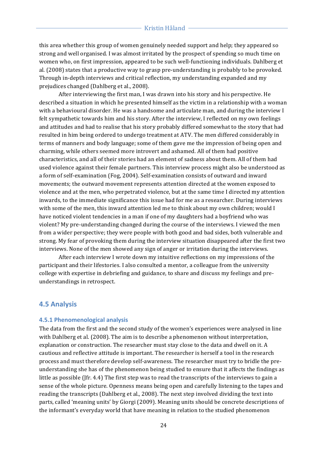this area whether this group of women genuinely needed support and help; they appeared so strong and well organised. I was almost irritated by the prospect of spending so much time on women who, on first impression, appeared to be such well-functioning individuals. Dahlberg et al. (2008) states that a productive way to grasp pre-understanding is probably to be provoked. Through in-depth interviews and critical reflection, my understanding expanded and my prejudices changed (Dahlberg et al., 2008).

After interviewing the first man, I was drawn into his story and his perspective. He described a situation in which he presented himself as the victim in a relationship with a woman with a behavioural disorder. He was a handsome and articulate man, and during the interview I felt sympathetic towards him and his story. After the interview, I reflected on my own feelings and attitudes and had to realise that his story probably differed somewhat to the story that had resulted in him being ordered to undergo treatment at ATV. The men differed considerably in terms of manners and body language; some of them gave me the impression of being open and charming, while others seemed more introvert and ashamed. All of them had positive characteristics, and all of their stories had an element of sadness about them. All of them had used violence against their female partners. This interview process might also be understood as a form of self-examination (Fog, 2004). Self-examination consists of outward and inward movements; the outward movement represents attention directed at the women exposed to violence and at the men, who perpetrated violence, but at the same time I directed my attention inwards, to the immediate significance this issue had for me as a researcher. During interviews with some of the men, this inward attention led me to think about my own children; would I have noticed violent tendencies in a man if one of my daughters had a boyfriend who was violent? My pre-understanding changed during the course of the interviews. I viewed the men from a wider perspective; they were people with both good and bad sides, both vulnerable and strong. My fear of provoking them during the interview situation disappeared after the first two interviews. None of the men showed any sign of anger or irritation during the interviews.

After each interview I wrote down my intuitive reflections on my impressions of the participant and their lifestories. I also consulted a mentor, a colleague from the university college with expertise in debriefing and guidance, to share and discuss my feelings and preunderstandings in retrospect.

#### **4.5 Analysis**

#### **4.5.1 Phenomenological analysis**

The data from the first and the second study of the women's experiences were analysed in line with Dahlberg et al. (2008). The aim is to describe a phenomenon without interpretation, explanation or construction. The researcher must stay close to the data and dwell on it. A cautious and reflective attitude is important. The researcher is herself a tool in the research process and must therefore develop self-awareness. The researcher must try to bridle the preunderstanding she has of the phenomenon being studied to ensure that it affects the findings as little as possible (Jfr. 4.4) The first step was to read the transcripts of the interviews to gain a sense of the whole picture. Openness means being open and carefully listening to the tapes and reading the transcripts (Dahlberg et al., 2008). The next step involved dividing the text into parts, called 'meaning units' by Giorgi (2009). Meaning units should be concrete descriptions of the informant's everyday world that have meaning in relation to the studied phenomenon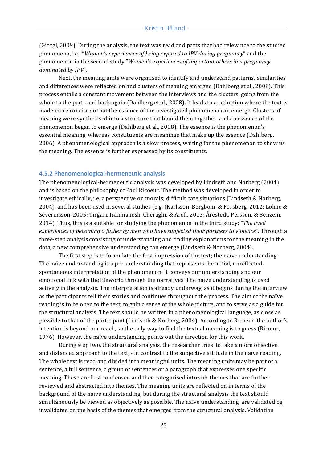(Giorgi, 2009). During the analysis, the text was read and parts that had relevance to the studied phenomena, i.e.: "*Women's experiences of being exposed to IPV during pregnancy*" and the phenomenon in the second study "*Women's experiences of important others in a pregnancy* dominated by IPV".

Next, the meaning units were organised to identify and understand patterns. Similarities and differences were reflected on and clusters of meaning emerged (Dahlberg et al., 2008). This process entails a constant movement between the interviews and the clusters, going from the whole to the parts and back again (Dahlberg et al., 2008). It leads to a reduction where the text is made more concise so that the essence of the investigated phenomena can emerge. Clusters of meaning were synthesised into a structure that bound them together, and an essence of the phenomenon began to emerge (Dahlberg et al., 2008). The essence is the phenomenon's essential meaning, whereas constituents are meanings that make up the essence (Dahlberg, 2006). A phenomenological approach is a slow process, waiting for the phenomenon to show us the meaning. The essence is further expressed by its constituents.

#### **4.5.2 Phenomenological-hermeneutic analysis**

The phenomenological-hermeneutic analysis was developed by Lindseth and Norberg (2004) and is based on the philosophy of Paul Ricoeur. The method was developed in order to investigate ethically, i.e. a perspective on morals; difficult care situations (Lindseth & Norberg, 2004), and has been used in several studies (e.g. (Karlsson, Bergbom, & Forsberg, 2012; Lohne & Severinsson, 2005; Tirgari, Iranmanesh, Cheraghi, & Arefi, 2013; Årestedt, Persson, & Benzein, 2014). Thus, this is a suitable for studying the phenomenon in the third study; "*The lived experiences of becoming a father by men who have subjected their partners to violence"*. Through a three-step analysis consisting of understanding and finding explanations for the meaning in the data, a new comprehensive understanding can emerge (Lindseth & Norberg, 2004).

The first step is to formulate the first impression of the text; the naïve understanding. The naïve understanding is a pre-understanding that represents the initial, unreflected, spontaneous interpretation of the phenomenon. It conveys our understanding and our emotional link with the lifeworld through the narratives. The naïve understanding is used actively in the analysis. The interpretation is already underway, as it begins during the interview as the participants tell their stories and continues throughout the process. The aim of the naïve reading is to be open to the text, to gain a sense of the whole picture, and to serve as a guide for the structural analysis. The text should be written in a phenomenological language, as close as possible to that of the participant (Lindseth & Norberg, 2004). According to Ricoeur, the author's intention is beyond our reach, so the only way to find the textual meaning is to guess (Ricœur, 1976). However, the naïve understanding points out the direction for this work.

During step two, the structural analysis, the researcher tries to take a more objective and distanced approach to the text, - in contrast to the subjective attitude in the naïve reading. The whole text is read and divided into meaningful units. The meaning units may be part of a sentence, a full sentence, a group of sentences or a paragraph that expresses one specific meaning. These are first condensed and then categorised into sub-themes that are further reviewed and abstracted into themes. The meaning units are reflected on in terms of the background of the naïve understanding, but during the structural analysis the text should simultaneously be viewed as objectively as possible. The naïve understanding are validated og invalidated on the basis of the themes that emerged from the structural analysis. Validation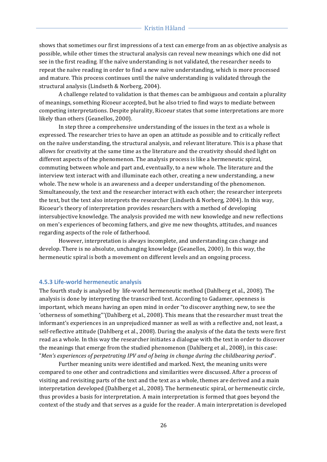shows that sometimes our first impressions of a text can emerge from an as objective analysis as possible, while other times the structural analysis can reveal new meanings which one did not see in the first reading. If the naïve understanding is not validated, the researcher needs to repeat the naïve reading in order to find a new naïve understanding, which is more processed and mature. This process continues until the naïve understanding is validated through the structural analysis (Lindseth & Norberg, 2004).

A challenge related to validation is that themes can be ambiguous and contain a plurality of meanings, something Ricoeur accepted, but he also tried to find ways to mediate between competing interpretations. Despite plurality, Ricoeur states that some interpretations are more likely than others (Geanellos, 2000).

In step three a comprehensive understanding of the issues in the text as a whole is expressed. The researcher tries to have an open an attitude as possible and to critically reflect on the naïve understanding, the structural analysis, and relevant literature. This is a phase that allows for creativity at the same time as the literature and the creativity should shed light on different aspects of the phenomenon. The analysis process is like a hermeneutic spiral, commuting between whole and part and, eventually, to a new whole. The literature and the interview text interact with and illuminate each other, creating a new understanding, a new whole. The new whole is an awareness and a deeper understanding of the phenomenon. Simultaneously, the text and the researcher interact with each other; the researcher interprets the text, but the text also interprets the researcher (Lindseth & Norberg, 2004). In this way, Ricoeur's theory of interpretation provides researchers with a method of developing intersubjective knowledge. The analysis provided me with new knowledge and new reflections on men's experiences of becoming fathers, and give me new thoughts, attitudes, and nuances regarding aspects of the role of fatherhood.

However, interpretation is always incomplete, and understanding can change and develop. There is no absolute, unchanging knowledge (Geanellos, 2000). In this way, the hermeneutic spiral is both a movement on different levels and an ongoing process.

#### **4.5.3 Life-world hermeneutic analysis**

The fourth study is analysed by life-world hermeneutic method (Dahlberg et al., 2008). The analysis is done by interpreting the transcribed text. According to Gadamer, openness is important, which means having an open mind in order "to discover anything new, to see the 'otherness of something'''(Dahlberg et al., 2008). This means that the researcher must treat the informant's experiences in an unprejudiced manner as well as with a reflective and, not least, a self-reflective attitude (Dahlberg et al., 2008). During the analysis of the data the texts were first read as a whole. In this way the researcher initiates a dialogue with the text in order to discover the meanings that emerge from the studied phenomenon (Dahlberg et al., 2008), in this case: "Men's experiences of perpetrating IPV and of being in change during the childbearing period".

Further meaning units were identified and marked. Next, the meaning units were compared to one other and contradictions and similarities were discussed. After a process of visiting and revisiting parts of the text and the text as a whole, themes are derived and a main interpretation developed (Dahlberg et al., 2008). The hermeneutic spiral, or hermeneutic circle, thus provides a basis for interpretation. A main interpretation is formed that goes beyond the context of the study and that serves as a guide for the reader. A main interpretation is developed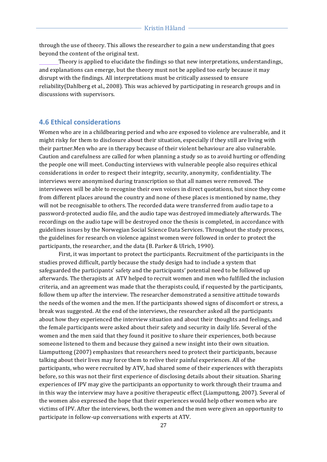through the use of theory. This allows the researcher to gain a new understanding that goes beyond the content of the original text.

Theory is applied to elucidate the findings so that new interpretations, understandings, and explanations can emerge, but the theory must not be applied too early because it may disrupt with the findings. All interpretations must be critically assessed to ensure reliability(Dahlberg et al., 2008). This was achieved by participating in research groups and in discussions with supervisors.

#### **4.6 Ethical considerations**

Women who are in a childbearing period and who are exposed to violence are vulnerable, and it might risky for them to disclosure about their situation, especially if they still are living with their partner.Men who are in therapy because of their violent behaviour are also vulnerable. Caution and carefulness are called for when planning a study so as to avoid hurting or offending the people one will meet. Conducting interviews with vulnerable people also requires ethical considerations in order to respect their integrity, security, anonymity, confidentiality. The interviews were anonymised during transcription so that all names were removed. The interviewees will be able to recognise their own voices in direct quotations, but since they come from different places around the country and none of these places is mentioned by name, they will not be recognisable to others. The recorded data were transferred from audio tape to a password-protected audio file, and the audio tape was destroyed immediately afterwards. The recordings on the audio tape will be destroyed once the thesis is completed, in accordance with guidelines issues by the Norwegian Social Science Data Services. Throughout the study process, the guidelines for research on violence against women were followed in order to protect the participants, the researcher, and the data (B. Parker & Ulrich, 1990).

First, it was important to protect the participants. Recruitment of the participants in the studies proved difficult, partly because the study design had to include a system that safeguarded the participants' safety and the participants' potential need to be followed up afterwards. The therapists at ATV helped to recruit women and men who fulfilled the inclusion criteria, and an agreement was made that the therapists could, if requested by the participants, follow them up after the interview. The researcher demonstrated a sensitive attitude towards the needs of the women and the men. If the participants showed signs of discomfort or stress, a break was suggested. At the end of the interviews, the researcher asked all the participants about how they experienced the interview situation and about their thoughts and feelings, and the female participants were asked about their safety and security in daily life. Several of the women and the men said that they found it positive to share their experiences, both because someone listened to them and because they gained a new insight into their own situation. Liamputtong (2007) emphasizes that researchers need to protect their participants, because talking about their lives may force them to relive their painful experiences. All of the participants, who were recruited by ATV, had shared some of their experiences with therapists before, so this was not their first experience of disclosing details about their situation. Sharing experiences of IPV may give the participants an opportunity to work through their trauma and in this way the interview may have a positive therapeutic effect (Liamputtong, 2007). Several of the women also expressed the hope that their experiences would help other women who are victims of IPV. After the interviews, both the women and the men were given an opportunity to participate in follow-up conversations with experts at ATV.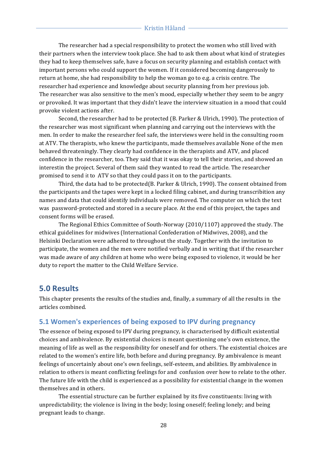The researcher had a special responsibility to protect the women who still lived with their partners when the interview took place. She had to ask them about what kind of strategies they had to keep themselves safe, have a focus on security planning and establish contact with important persons who could support the women. If it considered becoming dangerously to return at home, she had responsibility to help the woman go to e.g. a crisis centre. The researcher had experience and knowledge about security planning from her previous job. The researcher was also sensitive to the men's mood, especially whether they seem to be angry or provoked. It was important that they didn't leave the interview situation in a mood that could provoke violent actions after.

Second, the researcher had to be protected (B. Parker & Ulrich, 1990). The protection of the researcher was most significant when planning and carrying out the interviews with the men. In order to make the researcher feel safe, the interviews were held in the consulting room at ATV. The therapists, who knew the participants, made themselves available None of the men behaved threateningly. They clearly had confidence in the therapists and ATV, and placed confidence in the researcher, too. They said that it was okay to tell their stories, and showed an interestin the project. Several of them said they wanted to read the article. The researcher promised to send it to ATV so that they could pass it on to the participants.

Third, the data had to be protected(B. Parker & Ulrich, 1990). The consent obtained from the participants and the tapes were kept in a locked filing cabinet, and during transcribition any names and data that could identify individuals were removed. The computer on which the text was password-protected and stored in a secure place. At the end of this project, the tapes and consent forms will be erased.

The Regional Ethics Committee of South-Norway  $(2010/1107)$  approved the study. The ethical guidelines for midwives (International Confederation of Midwives, 2008), and the Helsinki Declaration were adhered to throughout the study. Together with the invitation to participate, the women and the men were notified verbally and in writing that if the researcher was made aware of any children at home who were being exposed to violence, it would be her duty to report the matter to the Child Welfare Service.

### **5.0 Results**

This chapter presents the results of the studies and, finally, a summary of all the results in the articles combined. 

### **5.1 Women's experiences of being exposed to IPV during pregnancy**

The essence of being exposed to IPV during pregnancy, is characterised by difficult existential choices and ambivalence. By existential choices is meant questioning one's own existence, the meaning of life as well as the responsibility for oneself and for others. The existential choices are related to the women's entire life, both before and during pregnancy. By ambivalence is meant feelings of uncertainly about one's own feelings, self-esteem, and abilities. By ambivalence in relation to others is meant conflicting feelings for and confusion over how to relate to the other. The future life with the child is experienced as a possibility for existential change in the women themselves and in others.

The essential structure can be further explained by its five constituents: living with unpredictability; the violence is living in the body; losing oneself; feeling lonely; and being pregnant leads to change.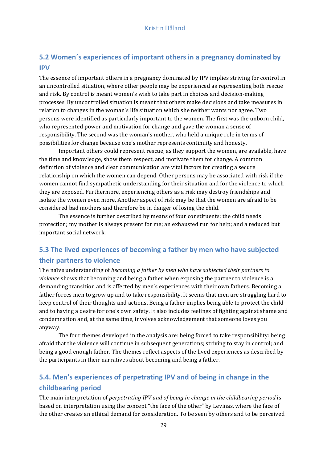### **5.2 Women's experiences of important others in a pregnancy dominated by IPV**

The essence of important others in a pregnancy dominated by IPV implies striving for control in an uncontrolled situation, where other people may be experienced as representing both rescue and risk. By control is meant women's wish to take part in choices and decision-making processes. By uncontrolled situation is meant that others make decisions and take measures in relation to changes in the woman's life situation which she neither wants nor agree. Two persons were identified as particularly important to the women. The first was the unborn child, who represented power and motivation for change and gave the woman a sense of responsibility. The second was the woman's mother, who held a unique role in terms of possibilities for change because one's mother represents continuity and honesty.

Important others could represent rescue, as they support the women, are available, have the time and knowledge, show them respect, and motivate them for change. A common definition of violence and clear communication are vital factors for creating a secure relationship on which the women can depend. Other persons may be associated with risk if the women cannot find sympathetic understanding for their situation and for the violence to which they are exposed. Furthermore, experiencing others as a risk may destroy friendships and isolate the women even more. Another aspect of risk may be that the women are afraid to be considered bad mothers and therefore be in danger of losing the child.

The essence is further described by means of four constituents: the child needs protection; my mother is always present for me; an exhausted run for help; and a reduced but important social network.

### **5.3** The lived experiences of becoming a father by men who have subjected **their partners to violence**

The naïve understanding of *becoming a father by men who have subjected their partners to violence* shows that becoming and being a father when exposing the partner to violence is a demanding transition and is affected by men's experiences with their own fathers. Becoming a father forces men to grow up and to take responsibility. It seems that men are struggling hard to keep control of their thoughts and actions. Being a father implies being able to protect the child and to having a desire for one's own safety. It also includes feelings of fighting against shame and condemnation and, at the same time, involves acknowledgement that someone loves you anyway.

The four themes developed in the analysis are: being forced to take responsibility: being afraid that the violence will continue in subsequent generations; striving to stay in control; and being a good enough father. The themes reflect aspects of the lived experiences as described by the participants in their narratives about becoming and being a father.

### **5.4. Men's experiences of perpetrating IPV and of being in change in the childbearing period**

The main interpretation of *perpetrating IPV and of being in change in the childbearing period* is based on interpretation using the concept "the face of the other" by Levinas, where the face of the other creates an ethical demand for consideration. To be seen by others and to be perceived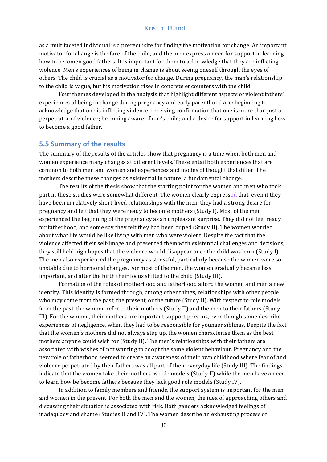as a multifaceted individual is a prerequisite for finding the motivation for change. An important motivator for change is the face of the child, and the men express a need for support in learning how to becomen good fathers. It is important for them to acknowledge that they are inflicting violence. Men's experiences of being in change is about seeing oneself through the eyes of others. The child is crucial as a motivator for change. During pregnancy, the man's relationship to the child is vague, but his motivation rises in concrete encounters with the child.

Four themes developed in the analysis that highlight different aspects of violent fathers' experiences of being in change during pregnancy and early parenthood are: beginning to acknowledge that one is inflicting violence; receiving confirmation that one is more than just a perpetrator of violence; becoming aware of one's child; and a desire for support in learning how to become a good father.

#### **5.5 Summary of the results**

The summary of the results of the articles show that pregnancy is a time when both men and women experience many changes at different levels. These entail both experiences that are common to both men and women and experiences and modes of thought that differ. The mothers describe these changes as existential in nature; a fundamental change.

The results of the thesis show that the starting point for the women and men who took part in these studies were somewhat different. The women clearly expressed that, even if they have been in relatively short-lived relationships with the men, they had a strong desire for pregnancy and felt that they were ready to become mothers (Study I). Most of the men experienced the beginning of the pregnancy as an unpleasant surprise. They did not feel ready for fatherhood, and some say they felt they had been duped (Study II). The women worried about what life would be like living with men who were violent. Despite the fact that the violence affected their self-image and presented them with existential challenges and decisions, they still held high hopes that the violence would disappear once the child was born (Study I). The men also experienced the pregnancy as stressful, particularly because the women were so unstable due to hormonal changes. For most of the men, the women gradually became less important, and after the birth their focus shifted to the child (Study III).

Formation of the roles of motherhood and fatherhood afford the women and men a new identity. This identity is formed through, among other things, relationships with other people who may come from the past, the present, or the future (Study II). With respect to role models from the past, the women refer to their mothers (Study II) and the men to their fathers (Study III). For the women, their mothers are important support persons, even though some describe experiences of negligence, when they had to be responsible for younger siblings. Despite the fact that the women's mothers did not always step up, the women characterise them as the best mothers anyone could wish for (Study II). The men's relationships with their fathers are associated with wishes of not wanting to adopt the same violent behaviour. Pregnancy and the new role of fatherhood seemed to create an awareness of their own childhood where fear of and violence perpetrated by their fathers was all part of their everyday life (Study III). The findings indicate that the women take their mothers as role models (Study II) while the men have a need to learn how be become fathers because they lack good role models (Study IV).

In addition to family members and friends, the support system is important for the men and women in the present. For both the men and the women, the idea of approaching others and discussing their situation is associated with risk. Both genders acknowledged feelings of inadequacy and shame (Studies II and IV). The women describe an exhausting process of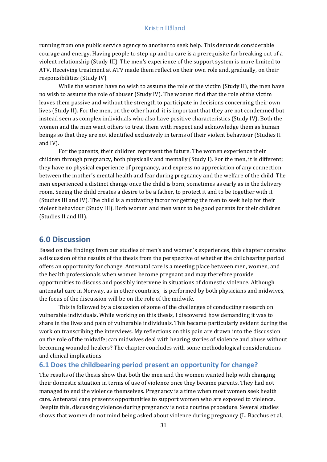running from one public service agency to another to seek help. This demands considerable courage and energy. Having people to step up and to care is a prerequisite for breaking out of a violent relationship (Study III). The men's experience of the support system is more limited to ATV. Receiving treatment at ATV made them reflect on their own role and, gradually, on their responsibilities (Study IV).

While the women have no wish to assume the role of the victim (Study II), the men have no wish to assume the role of abuser (Study IV). The women find that the role of the victim leaves them passive and without the strength to participate in decisions concerning their own lives (Study II). For the men, on the other hand, it is important that they are not condemned but instead seen as complex individuals who also have positive characteristics (Study IV). Both the women and the men want others to treat them with respect and acknowledge them as human beings so that they are not identified exclusively in terms of their violent behaviour (Studies II and IV).

For the parents, their children represent the future. The women experience their children through pregnancy, both physically and mentally (Study I). For the men, it is different; they have no physical experience of pregnancy, and express no appreciation of any connection between the mother's mental health and fear during pregnancy and the welfare of the child. The men experienced a distinct change once the child is born, sometimes as early as in the delivery room. Seeing the child creates a desire to be a father, to protect it and to be together with it (Studies III and IV). The child is a motivating factor for getting the men to seek help for their violent behaviour (Study III). Both women and men want to be good parents for their children (Studies II and III).

### **6.0 Discussion**

Based on the findings from our studies of men's and women's experiences, this chapter contains a discussion of the results of the thesis from the perspective of whether the childbearing period offers an opportunity for change. Antenatal care is a meeting place between men, women, and the health professionals when women become pregnant and may therefore provide opportunities to discuss and possibly intervene in situations of domestic violence. Although antenatal care in Norway, as in other countries, is performed by both physicians and midwives, the focus of the discussion will be on the role of the midwife.

This is followed by a discussion of some of the challenges of conducting research on vulnerable individuals. While working on this thesis, I discovered how demanding it was to share in the lives and pain of vulnerable individuals. This became particularly evident during the work on transcribing the interviews. My reflections on this pain are drawn into the discussion on the role of the midwife; can midwives deal with hearing stories of violence and abuse without becoming wounded healers? The chapter concludes with some methodological considerations and clinical implications.

#### **6.1 Does the childbearing period present an opportunity for change?**

The results of the thesis show that both the men and the women wanted help with changing their domestic situation in terms of use of violence once they became parents. They had not managed to end the violence themselves. Pregnancy is a time when most women seek health care. Antenatal care presents opportunities to support women who are exposed to violence. Despite this, discussing violence during pregnancy is not a routine procedure. Several studies shows that women do not mind being asked about violence during pregnancy (L. Bacchus et al.,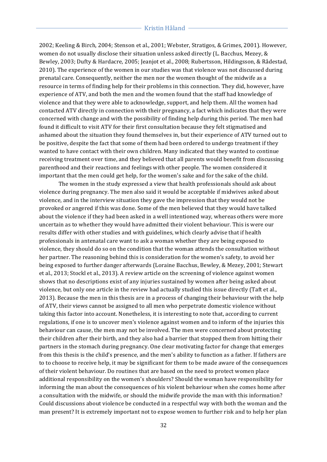2002; Keeling & Birch, 2004; Stenson et al., 2001; Webster, Stratigos, & Grimes, 2001). However, women do not usually disclose their situation unless asked directly (L. Bacchus, Mezey, & Bewley, 2003; Dufty & Hardacre, 2005; Jeanjot et al., 2008; Rubertsson, Hildingsson, & Rådestad, 2010). The experience of the women in our studies was that violence was not discussed during prenatal care. Consequently, neither the men nor the women thought of the midwife as a resource in terms of finding help for their problems in this connection. They did, however, have experience of ATV, and both the men and the women found that the staff had knowledge of violence and that they were able to acknowledge, support, and help them. All the women had contacted ATV directly in connection with their pregnancy, a fact which indicates that they were concerned with change and with the possibility of finding help during this period. The men had found it difficult to visit ATV for their first consultation because they felt stigmatised and ashamed about the situation they found themselves in, but their experience of ATV turned out to be positive, despite the fact that some of them had been ordered to undergo treatment if they wanted to have contact with their own children. Many indicated that they wanted to continue receiving treatment over time, and they believed that all parents would benefit from discussing parenthood and their reactions and feelings with other people. The women considered it important that the men could get help, for the women's sake and for the sake of the child.

The women in the study expressed a view that health professionals should ask about violence during pregnancy. The men also said it would be acceptable if midwives asked about violence, and in the interview situation they gave the impression that they would not be provoked or angered if this was done. Some of the men believed that they would have talked about the violence if they had been asked in a well intentioned way, whereas others were more uncertain as to whether they would have admitted their violent behaviour. This is were our results differ with other studies and with guidelines, which clearly advise that if health professionals in antenatal care want to ask a woman whether they are being exposed to violence, they should do so on the condition that the woman attends the consultation without her partner. The reasoning behind this is consideration for the women's safety, to avoid her being exposed to further danger afterwards (Loraine Bacchus, Bewley, & Mezey, 2001; Stewart et al., 2013; Stockl et al., 2013). A review article on the screening of violence against women shows that no descriptions exist of any injuries sustained by women after being asked about violence, but only one article in the review had actually studied this issue directly (Taft et al., 2013). Because the men in this thesis are in a process of changing their behaviour with the help of ATV, their views cannot be assigned to all men who perpetrate domestic violence without taking this factor into account. Nonetheless, it is interesting to note that, according to current regulations, if one is to uncover men's violence against women and to inform of the injuries this behaviour can cause, the men may not be involved. The men were concerned about protecting their children after their birth, and they also had a barrier that stopped them from hitting their partners in the stomach during pregnancy. One clear motivating factor for change that emerges from this thesis is the child's presence, and the men's ability to function as a father. If fathers are to to choose to receive help, it may be significant for them to be made aware of the consequences of their violent behaviour. Do routines that are based on the need to protect women place additional responsibility on the women's shoulders? Should the woman have responsibility for informing the man about the consequences of his violent behaviour when she comes home after a consultation with the midwife, or should the midwife provide the man with this information? Could discussions about violence be conducted in a respectful way with both the woman and the man present? It is extremely important not to expose women to further risk and to help her plan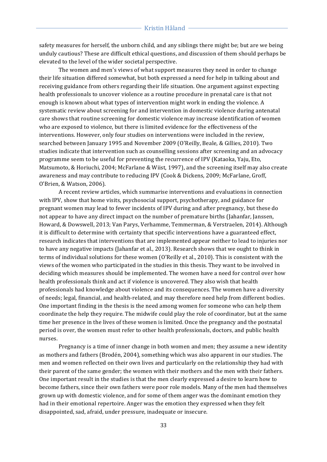safety measures for herself, the unborn child, and any siblings there might be; but are we being unduly cautious? These are difficult ethical questions, and discussion of them should perhaps be elevated to the level of the wider societal perspective.

The women and men's views of what support measures they need in order to change their life situation differed somewhat, but both expressed a need for help in talking about and receiving guidance from others regarding their life situation. One argument against expecting health professionals to uncover violence as a routine procedure in prenatal care is that not enough is known about what types of intervention might work in ending the violence. A systematic review about screening for and intervention in domestic violence during antenatal care shows that routine screening for domestic violence may increase identification of women who are exposed to violence, but there is limited evidence for the effectiveness of the interventions. However, only four studies on interventions were included in the review, searched between January 1995 and November 2009 (O'Reilly, Beale, & Gillies, 2010). Two studies indicate that intervention such as counselling sessions after screening and an advocacy programme seem to be useful for preventing the recurrence of IPV (Kataoka, Yaju, Eto, Matsumoto, & Horiuchi, 2004; McFarlane & Wiist, 1997), and the screening itself may also create awareness and may contribute to reducing IPV (Cook & Dickens, 2009; McFarlane, Groff, O'Brien, & Watson, 2006).

A recent review articles, which summarise interventions and evaluations in connection with IPV, show that home visits, psychosocial support, psychotherapy, and guidance for pregnant women may lead to fewer incidents of IPV during and after pregnancy, but these do not appear to have any direct impact on the number of premature births (Jahanfar, Janssen, Howard, & Dowswell, 2013; Van Parys, Verhamme, Temmerman, & Verstraelen, 2014). Although it is difficult to determine with certainty that specific interventions have a guaranteed effect, research indicates that interventions that are implemented appear neither to lead to injuries nor to have any negative impacts (Jahanfar et al., 2013). Research shows that we ought to think in terms of individual solutions for these women (O'Reilly et al., 2010). This is consistent with the views of the women who participated in the studies in this thesis. They want to be involved in deciding which measures should be implemented. The women have a need for control over how health professionals think and act if violence is uncovered. They also wish that health professionals had knowledge about violence and its consequences. The women have a diversity of needs; legal, financial, and health-related, and may therefore need help from different bodies. One important finding in the thesis is the need among women for someone who can help them coordinate the help they require. The midwife could play the role of coordinator, but at the same time her presence in the lives of these women is limited. Once the pregnancy and the postnatal period is over, the women must refer to other health professionals, doctors, and public health nurses.

Pregnancy is a time of inner change in both women and men; they assume a new identity as mothers and fathers (Brodén, 2004), something which was also apparent in our studies. The men and women reflected on their own lives and particularly on the relationship they had with their parent of the same gender; the women with their mothers and the men with their fathers. One important result in the studies is that the men clearly expressed a desire to learn how to become fathers, since their own fathers were poor role models. Many of the men had themselves grown up with domestic violence, and for some of them anger was the dominant emotion they had in their emotional repertoire. Anger was the emotion they expressed when they felt disappointed, sad, afraid, under pressure, inadequate or insecure.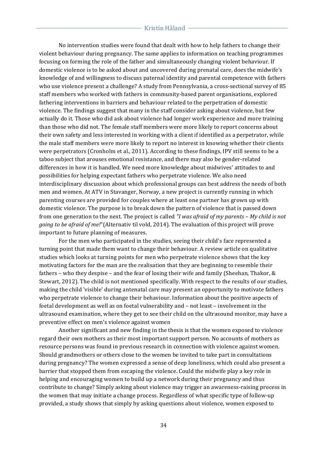No intervention studies were found that dealt with how to help fathers to change their violent behaviour during pregnancy. The same applies to information on teaching programmes focusing on forming the role of the father and simultaneously changing violent behaviour. If domestic violence is to be asked about and uncovered during prenatal care, does the midwife's knowledge of and willingness to discuss paternal identity and parental competence with fathers who use violence present a challenge? A study from Pennsylvania, a cross-sectional survey of 85 staff members who worked with fathers in community-based parent organisations, explored fathering interventions in barriers and behaviour related to the perpetration of domestic violence. The findings suggest that many in the staff consider asking about violence, but few actually do it. Those who did ask about violence had longer work experience and more training than those who did not. The female staff members were more likely to report concerns about their own safety and less interested in working with a client if identified as a perpetrator, while the male staff members were more likely to report no interest in knowing whether their clients were perpetrators (Cronholm et al., 2011). According to these findings, IPV still seems to be a taboo subject that arouses emotional resistance, and there may also be gender-related differences in how it is handled. We need more knowledge about midwives' attitudes to and possibilities for helping expectant fathers who perpetrate violence. We also need interdisciplinary discussion about which professional groups can best address the needs of both men and women. At ATV in Stavanger, Norway, a new project is currently running in which parenting courses are provided for couples where at least one partner has grown up with domestic violence. The purpose is to break down the pattern of violence that is passed down from one generation to the next. The project is called "*I* was afraid of my parents – My child is not *going* to be afraid of me!"(Alternativ til vold, 2014). The evaluation of this project will prove important to future planning of measures.

For the men who participated in the studies, seeing their child's face represented a turning point that made them want to change their behaviour. A review article on qualitative studies which looks at turning points for men who perpetrate violence shows that the key motivating factors for the man are the realisation that they are beginning to resemble their fathers – who they despise – and the fear of losing their wife and family (Sheehan, Thakor,  $\&$ Stewart, 2012). The child is not mentioned specifically. With respect to the results of our studies, making the child 'visible' during antenatal care may present an opportunity to motivate fathers who perpetrate violence to change their behaviour. Information about the positive aspects of foetal development as well as on foetal vulnerability and – not least – involvement in the ultrasound examination, where they get to see their child on the ultrasound monitor, may have a preventive effect on men's violence against women

Another significant and new finding in the thesis is that the women exposed to violence regard their own mothers as their most important support person. No accounts of mothers as resource persons was found in previous research in connection with violence against women. Should grandmothers or others close to the women be invited to take part in consultations during pregnancy? The women expressed a sense of deep loneliness, which could also present a barrier that stopped them from escaping the violence. Could the midwife play a key role in helping and encouraging women to build up a network during their pregnancy and thus contribute to change? Simply asking about violence may trigger an awareness-raising process in the women that may initiate a change process. Regardless of what specific type of follow-up provided, a study shows that simply by asking questions about violence, women exposed to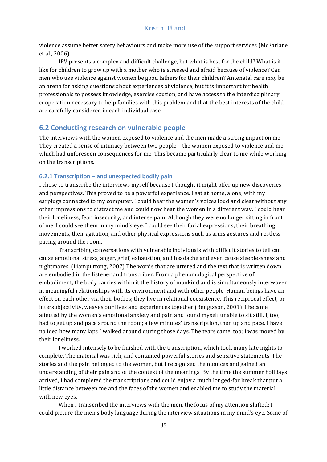violence assume better safety behaviours and make more use of the support services (McFarlane et al., 2006).

IPV presents a complex and difficult challenge, but what is best for the child? What is it like for children to grow up with a mother who is stressed and afraid because of violence? Can men who use violence against women be good fathers for their children? Antenatal care may be an arena for asking questions about experiences of violence, but it is important for health professionals to possess knowledge, exercise caution, and have access to the interdisciplinary cooperation necessary to help families with this problem and that the best interests of the child are carefully considered in each individual case.

#### **6.2 Conducting research on vulnerable people**

The interviews with the women exposed to violence and the men made a strong impact on me. They created a sense of intimacy between two people – the women exposed to violence and me – which had unforeseen consequences for me. This became particularly clear to me while working on the transcriptions.

#### **6.2.1 Transcription – and unexpected bodily pain**

I chose to transcribe the interviews myself because I thought it might offer up new discoveries and perspectives. This proved to be a powerful experience. I sat at home, alone, with my earplugs connected to my computer. I could hear the women's voices loud and clear without any other impressions to distract me and could now hear the women in a different way. I could hear their loneliness, fear, insecurity, and intense pain. Although they were no longer sitting in front of me, I could see them in my mind's eve. I could see their facial expressions, their breathing movements, their agitation, and other physical expressions such as arms gestures and restless pacing around the room.

Transcribing conversations with vulnerable individuals with difficult stories to tell can cause emotional stress, anger, grief, exhaustion, and headache and even cause sleeplessness and nightmares. (Liamputtong, 2007) The words that are uttered and the text that is written down are embodied in the listener and transcriber. From a phenomological perspective of embodiment, the body carries within it the history of mankind and is simultaneously interwoven in meaningful relationships with its environment and with other people. Human beings have an effect on each other via their bodies; they live in relational coexistence. This reciprocal effect, or intersubjectivity, weaves our lives and experiences together (Bengtsson, 2001). I became affected by the women's emotional anxiety and pain and found myself unable to sit still. I, too, had to get up and pace around the room; a few minutes' transcription, then up and pace. I have no idea how many laps I walked around during those days. The tears came, too; I was moved by their loneliness.

I worked intensely to be finished with the transcription, which took many late nights to complete. The material was rich, and contained powerful stories and sensitive statements. The stories and the pain belonged to the women, but I recognised the nuances and gained an understanding of their pain and of the context of the meanings. By the time the summer holidays arrived, I had completed the transcriptions and could enjoy a much longed-for break that put a little distance between me and the faces of the women and enabled me to study the material with new eyes.

When I transcribed the interviews with the men, the focus of my attention shifted; I could picture the men's body language during the interview situations in my mind's eye. Some of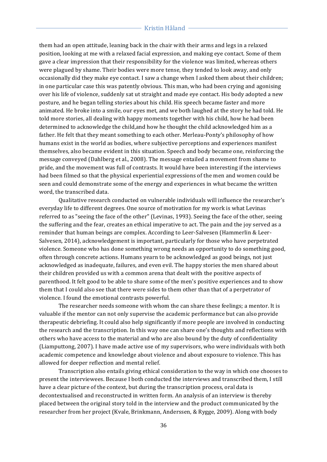them had an open attitude, leaning back in the chair with their arms and legs in a relaxed position, looking at me with a relaxed facial expression, and making eye contact. Some of them gave a clear impression that their responsibility for the violence was limited, whereas others were plagued by shame. Their bodies were more tense, they tended to look away, and only occasionally did they make eye contact. I saw a change when I asked them about their children; in one particular case this was patently obvious. This man, who had been crying and agonising over his life of violence, suddenly sat ut straight and made eye contact. His body adopted a new posture, and he began telling stories about his child. His speech became faster and more animated. He broke into a smile, our eyes met, and we both laughed at the story he had told. He told more stories, all dealing with happy moments together with his child, how he had been determined to acknowledge the child,and how he thought the child acknowledged him as a father. He felt that they meant something to each other. Merleau-Ponty's philosophy of how humans exist in the world as bodies, where subjective perceptions and experiences manifest themselves, also became evident in this situation. Speech and body became one, reinforcing the message conveyed (Dahlberg et al., 2008). The message entailed a movement from shame to pride, and the movement was full of contrasts. It would have been interesting if the interviews had been filmed so that the physical experiential expressions of the men and women could be seen and could demonstrate some of the energy and experiences in what became the written word, the transcribed data.

Qualitative research conducted on vulnerable individuals will influence the researcher's everyday life to different degrees. One source of motivation for my work is what Levinas referred to as "seeing the face of the other" (Levinas, 1993). Seeing the face of the other, seeing the suffering and the fear, creates an ethical imperative to act. The pain and the joy served as a reminder that human beings are complex. According to Leer-Salvesen (Hammerlin & Leer-Salvesen, 2014), acknowledgement is important, particularly for those who have perpetrated violence. Someone who has done something wrong needs an opportunity to do something good, often through concrete actions. Humans yearn to be acknowledged as good beings, not just acknowledged as inadequate, failures, and even evil. The happy stories the men shared about their children provided us with a common arena that dealt with the positive aspects of parenthood. It felt good to be able to share some of the men's positive experiences and to show them that I could also see that there were sides to them other than that of a perpetrator of violence. I found the emotional contrasts powerful.

The researcher needs someone with whom the can share these feelings; a mentor. It is valuable if the mentor can not only supervise the academic performance but can also provide therapeutic debriefing. It could also help significantly if more people are involved in conducting the research and the transcription. In this way one can share one's thoughts and reflections with others who have access to the material and who are also bound by the duty of confidentiality (Liamputtong, 2007). I have made active use of my supervisors, who were individuals with both academic competence and knowledge about violence and about exposure to violence. This has allowed for deeper reflection and mental relief.

Transcription also entails giving ethical consideration to the way in which one chooses to present the interviewees. Because I both conducted the interviews and transcribed them, I still have a clear picture of the context, but during the transcription process, oral data is decontextualised and reconstructed in written form. An analysis of an interview is thereby placed between the original story told in the interview and the product communicated by the researcher from her project (Kvale, Brinkmann, Anderssen, & Rygge, 2009). Along with body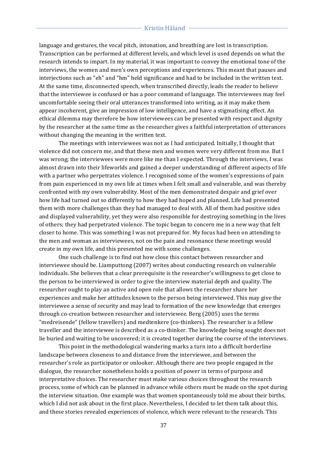language and gestures, the vocal pitch, intonation, and breathing are lost in transcription. Transcription can be performed at different levels, and which level is used depends on what the research intends to impart. In my material, it was important to convey the emotional tone of the interviews, the women and men's own perceptions and experiences. This meant that pauses and interjections such as "eh" and "hm" held significance and had to be included in the written text. At the same time, disconnected speech, when transcribed directly, leads the reader to believe that the interviewee is confused or has a poor command of language. The interviewees may feel uncomfortable seeing their oral utterances transformed into writing, as it may make them appear incoherent, give an impression of low intelligence, and have a stigmatising effect. An ethical dilemma may therefore be how interviewees can be presented with respect and dignity by the researcher at the same time as the researcher gives a faithful interpretation of utterances without changing the meaning in the written text.

The meetings with interviewees was not as I had anticipated. Initially, I thought that violence did not concern me, and that these men and women were very different from me. But I was wrong; the interviewees were more like me than I expected. Through the interviews, I was almost drawn into their lifeworlds and gained a deeper understanding of different aspects of life with a partner who perpetrates violence. I recognised some of the women's expressions of pain from pain experienced in my own life at times when I felt small and vulnerable, and was thereby confronted with my own vulnerability. Most of the men demonstrated despair and grief over how life had turned out so differently to how they had hoped and planned. Life had presented them with more challenges than they had managed to deal with. All of them had positive sides and displayed vulnerability, yet they were also responsible for destroying something in the lives of others; they had perpetrated violence. The topic began to concern me in a new way that felt closer to home. This was something I was not prepared for. My focus had been on attending to the men and woman as interviewees, not on the pain and resonance these meetings would create in my own life, and this presented me with some challenges.

One such challenge is to find out how close this contact between researcher and interviewee should be. Liamputtong (2007) writes about conducting research on vulnerable individuals. She believes that a clear prerequisite is the researcher's willingness to get close to the person to be interviewed in order to give the interview material depth and quality. The researcher ought to play an active and open role that allows the researcher share her experiences and make her attitudes known to the person being interviewed. This may give the interviewee a sense of security and may lead to formation of the new knowledge that emerges through co-creation between researcher and interviewee. Berg (2005) uses the terms "medreisende" (fellow travellers) and medtenkere (co-thinkers). The researcher is a fellow traveller and the interviewee is described as a co-thinker. The knowledge being sought does not lie buried and waiting to be uncovered; it is created together during the course of the interviews.

This point in the methodological wandering marks a turn into a difficult borderline landscape between closeness to and distance from the interviewee, and between the researcher's role as participator or onlooker. Although there are two people engaged in the dialogue, the researcher nonetheless holds a position of power in terms of purpose and interpretative choices. The researcher must make various choices throughout the research process, some of which can be planned in advance while others must be made on the spot during the interview situation. One example was that women spontaneously told me about their births, which I did not ask about in the first place. Nevertheless, I decided to let them talk about this, and these stories revealed experiences of violence, which were relevant to the research. This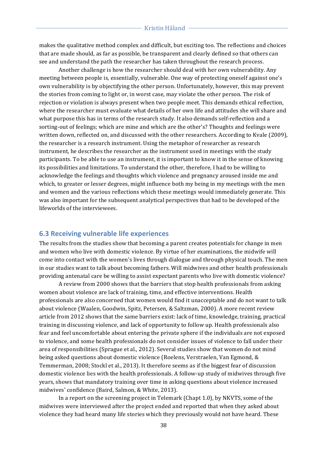makes the qualitative method complex and difficult, but exciting too. The reflections and choices that are made should, as far as possible, be transparent and clearly defined so that others can see and understand the path the researcher has taken throughout the research process.

Another challenge is how the researcher should deal with her own vulnerability. Any meeting between people is, essentially, vulnerable. One way of protecting oneself against one's own vulnerability is by objectifying the other person. Unfortunately, however, this may prevent the stories from coming to light or, in worst case, may violate the other person. The risk of rejection or violation is always present when two people meet. This demands ethical reflection, where the researcher must evaluate what details of her own life and attitudes she will share and what purpose this has in terms of the research study. It also demands self-reflection and a sorting-out of feelings; which are mine and which are the other's? Thoughts and feelings were written down, reflected on, and discussed with the other researchers. According to Kvale (2009), the researcher is a research instrument. Using the metaphor of researcher as research instrument, he describes the researcher as the instrument used in meetings with the study participants. To be able to use an instrument, it is important to know it in the sense of knowing its possibilities and limitations. To understand the other, therefore, I had to be willing to acknowledge the feelings and thoughts which violence and pregnancy aroused inside me and which, to greater or lesser degrees, might influence both my being in my meetings with the men and women and the various reflections which these meetings would immediately generate. This was also important for the subsequent analytical perspectives that had to be developed of the lifeworlds of the interviewees.

#### **6.3 Receiving vulnerable life experiences**

The results from the studies show that becoming a parent creates potentials for change in men and women who live with domestic violence. By virtue of her examinations, the midwife will come into contact with the women's lives through dialogue and through physical touch. The men in our studies want to talk about becoming fathers. Will midwives and other health professionals providing antenatal care be willing to assist expectant parents who live with domestic violence?

A review from 2000 shows that the barriers that stop health professionals from asking women about violence are lack of training, time, and effective interventions. Health professionals are also concerned that women would find it unacceptable and do not want to talk about violence (Waalen, Goodwin, Spitz, Petersen, & Saltzman, 2000). A more recent review article from 2012 shows that the same barriers exist: lack of time, knowledge, training, practical training in discussing violence, and lack of opportunity to follow up. Health professionals also fear and feel uncomfortable about entering the private sphere if the individuals are not exposed to violence, and some health professionals do not consider issues of violence to fall under their area of responsibilities (Sprague et al., 2012). Several studies show that women do not mind being asked questions about domestic violence (Roelens, Verstraelen, Van Egmond, & Temmerman, 2008; Stockl et al., 2013). It therefore seems as if the biggest fear of discussion domestic violence lies with the health professionals. A follow-up study of midwives through five years, shows that mandatory training over time in asking questions about violence increased midwives' confidence (Baird, Salmon, & White, 2013).

In a report on the screening project in Telemark (Chapt  $1.0$ ), by NKVTS, some of the midwives were interviewed after the project ended and reported that when they asked about violence they had heard many life stories which they previously would not have heard. These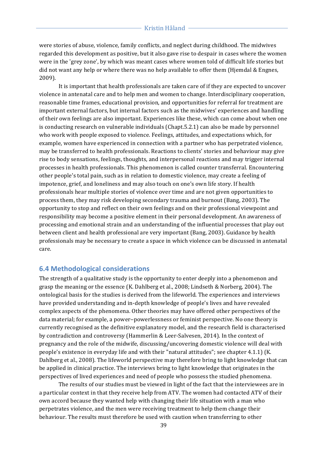were stories of abuse, violence, family conflicts, and neglect during childhood. The midwives regarded this development as positive, but it also gave rise to despair in cases where the women were in the 'grey zone', by which was meant cases where women told of difficult life stories but did not want any help or where there was no help available to offer them (Hjemdal & Engnes, 2009). 

It is important that health professionals are taken care of if they are expected to uncover violence in antenatal care and to help men and women to change. Interdisciplinary cooperation, reasonable time frames, educational provision, and opportunities for referral for treatment are important external factors, but internal factors such as the midwives' experiences and handling of their own feelings are also important. Experiences like these, which can come about when one is conducting research on vulnerable individuals  $(Chapter 5.2.1)$  can also be made by personnel who work with people exposed to violence. Feelings, attitudes, and expectations which, for example, women have experienced in connection with a partner who has perpetrated violence, may be transferred to health professionals. Reactions to clients' stories and behaviour may give rise to body sensations, feelings, thoughts, and interpersonal reactions and may trigger internal processes in health professionals. This phenomenon is called counter transferral. Encountering other people's total pain, such as in relation to domestic violence, may create a feeling of impotence, grief, and loneliness and may also touch on one's own life story. If health professionals hear multiple stories of violence over time and are not given opportunities to process them, they may risk developing secondary trauma and burnout (Bang, 2003). The opportunity to stop and reflect on their own feelings and on their professional viewpoint and responsibility may become a positive element in their personal development. An awareness of processing and emotional strain and an understanding of the influential processes that play out between client and health professional are very important (Bang, 2003). Guidance by health professionals may be necessary to create a space in which violence can be discussed in antenatal care. 

#### **6.4** Methodological considerations

The strength of a qualitative study is the opportunity to enter deeply into a phenomenon and grasp the meaning or the essence  $(K.$  Dahlberg et al., 2008; Lindseth & Norberg, 2004). The ontological basis for the studies is derived from the lifeworld. The experiences and interviews have provided understanding and in-depth knowledge of people's lives and have revealed complex aspects of the phenomena. Other theories may have offered other perspectives of the data material; for example, a power-powerlessness or feminist perspective. No one theory is currently recognised as the definitive explanatory model, and the research field is characterised by contradiction and controversy (Hammerlin & Leer-Salvesen, 2014). In the context of pregnancy and the role of the midwife, discussing/uncovering domestic violence will deal with people's existence in everyday life and with their "natural attitudes"; see chapter  $4.1.1$ ) (K. Dahlberg et al., 2008). The lifeworld perspective may therefore bring to light knowledge that can be applied in clinical practice. The interviews bring to light knowledge that originates in the perspectives of lived experiences and need of people who possess the studied phenomena.

The results of our studies must be viewed in light of the fact that the interviewees are in a particular context in that they receive help from ATV. The women had contacted ATV of their own accord because they wanted help with changing their life situation with a man who perpetrates violence, and the men were receiving treatment to help them change their behaviour. The results must therefore be used with caution when transferring to other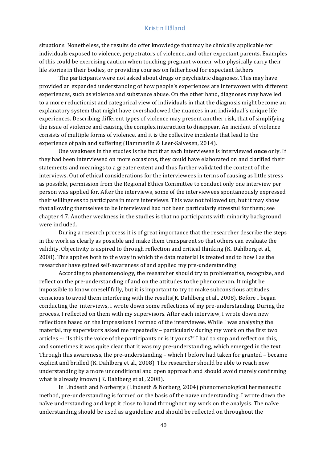situations. Nonetheless, the results do offer knowledge that may be clinically applicable for individuals exposed to violence, perpetrators of violence, and other expectant parents. Examples of this could be exercising caution when touching pregnant women, who physically carry their life stories in their bodies, or providing courses on fatherhood for expectant fathers.

The participants were not asked about drugs or psychiatric diagnoses. This may have provided an expanded understanding of how people's experiences are interwoven with different experiences, such as violence and substance abuse. On the other hand, diagnoses may have led to a more reductionist and categorical view of individuals in that the diagnosis might become an explanatory system that might have overshadowed the nuances in an individual's unique life experiences. Describing different types of violence may present another risk, that of simplifying the issue of violence and causing the complex interaction to disappear. An incident of violence consists of multiple forms of violence, and it is the collective incidents that lead to the experience of pain and suffering (Hammerlin & Leer-Salvesen, 2014).

One weakness in the studies is the fact that each interviewee is interviewed **once** only. If they had been interviewed on more occasions, they could have elaborated on and clarified their statements and meanings to a greater extent and thus further validated the content of the interviews. Out of ethical considerations for the interviewees in terms of causing as little stress as possible, permission from the Regional Ethics Committee to conduct only one interview per person was applied for. After the interviews, some of the interviewees spontaneously expressed their willingness to participate in more interviews. This was not followed up, but it may show that allowing themselves to be interviewed had not been particularly stressful for them; see chapter 4.7. Another weakness in the studies is that no participants with minority background were included.

During a research process it is of great importance that the researcher describe the steps in the work as clearly as possible and make them transparent so that others can evaluate the validity. Objectivity is aspired to through reflection and critical thinking (K. Dahlberg et al., 2008). This applies both to the way in which the data material is treated and to how I as the researcher have gained self-awareness of and applied my pre-understanding.

According to phenomenology, the researcher should try to problematise, recognize, and reflect on the pre-understanding of and on the attitudes to the phenomenon. It might be impossible to know oneself fully, but it is important to try to make subconscious attitudes conscious to avoid them interfering with the results(K. Dahlberg et al., 2008). Before I began conducting the interviews, I wrote down some reflections of my pre-understanding. During the process, I reflected on them with my supervisors. After each interview, I wrote down new reflections based on the impressions I formed of the interviewee. While I was analysing the material, my supervisors asked me repeatedly – particularly during my work on the first two articles  $-$ : "Is this the voice of the participants or is it yours?" I had to stop and reflect on this, and sometimes it was quite clear that it was my pre-understanding, which emerged in the text. Through this awareness, the pre-understanding – which I before had taken for granted – became explicit and bridled (K. Dahlberg et al., 2008). The researcher should be able to reach new understanding by a more unconditional and open approach and should avoid merely confirming what is already known (K. Dahlberg et al., 2008).

In Lindseth and Norberg's (Lindseth & Norberg, 2004) phenomenological hermeneutic method, pre-understanding is formed on the basis of the naïve understanding. I wrote down the naïve understanding and kept it close to hand throughout my work on the analysis. The naïve understanding should be used as a guideline and should be reflected on throughout the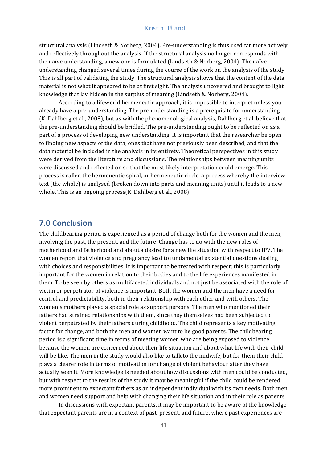structural analysis (Lindseth & Norberg, 2004). Pre-understanding is thus used far more actively and reflectively throughout the analysis. If the structural analysis no longer corresponds with the naïve understanding, a new one is formulated (Lindseth & Norberg, 2004). The naïve understanding changed several times during the course of the work on the analysis of the study. This is all part of validating the study. The structural analysis shows that the content of the data material is not what it appeared to be at first sight. The analysis uncovered and brought to light knowledge that lay hidden in the surplus of meaning (Lindseth & Norberg, 2004).

According to a lifeworld hermeneutic approach, it is impossible to interpret unless you already have a pre-understanding. The pre-understanding is a prerequisite for understanding (K. Dahlberg et al., 2008), but as with the phenomenological analysis, Dahlberg et al. believe that the pre-understanding should be bridled. The pre-understanding ought to be reflected on as a part of a process of developing new understanding. It is important that the researcher be open to finding new aspects of the data, ones that have not previously been described, and that the data material be included in the analysis in its entirety. Theoretical perspectives in this study were derived from the literature and discussions. The relationships between meaning units were discussed and reflected on so that the most likely interpretation could emerge. This process is called the hermeneutic spiral, or hermeneutic circle, a process whereby the interview text (the whole) is analysed (broken down into parts and meaning units) until it leads to a new whole. This is an ongoing process(K. Dahlberg et al., 2008).

### **7.0 Conclusion**

The childbearing period is experienced as a period of change both for the women and the men, involving the past, the present, and the future. Change has to do with the new roles of motherhood and fatherhood and about a desire for a new life situation with respect to IPV. The women report that violence and pregnancy lead to fundamental existential questions dealing with choices and responsibilities. It is important to be treated with respect; this is particularly important for the women in relation to their bodies and to the life experiences manifested in them. To be seen by others as multifaceted individuals and not just be associated with the role of victim or perpetrator of violence is important. Both the women and the men have a need for control and predictability, both in their relationship with each other and with others. The women's mothers played a special role as support persons. The men who mentioned their fathers had strained relationships with them, since they themselves had been subjected to violent perpetrated by their fathers during childhood. The child represents a key motivating factor for change, and both the men and women want to be good parents. The childbearing period is a significant time in terms of meeting women who are being exposed to violence because the women are concerned about their life situation and about what life with their child will be like. The men in the study would also like to talk to the midwife, but for them their child plays a clearer role in terms of motivation for change of violent behaviour after they have actually seen it. More knowledge is needed about how discussions with men could be conducted, but with respect to the results of the study it may be meaningful if the child could be rendered more prominent to expectant fathers as an independent individual with its own needs. Both men and women need support and help with changing their life situation and in their role as parents.

In discussions with expectant parents, it may be important to be aware of the knowledge that expectant parents are in a context of past, present, and future, where past experiences are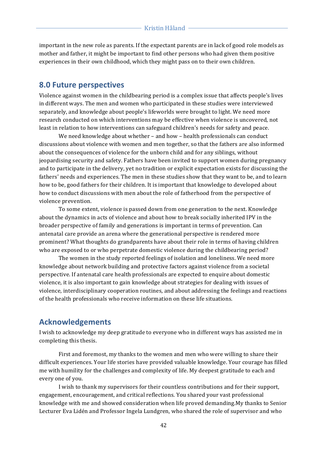important in the new role as parents. If the expectant parents are in lack of good role models as mother and father, it might be important to find other persons who had given them positive experiences in their own childhood, which they might pass on to their own children.

### **8.0 Future perspectives**

Violence against women in the childbearing period is a complex issue that affects people's lives in different ways. The men and women who participated in these studies were interviewed separately, and knowledge about people's lifeworlds were brought to light. We need more research conducted on which interventions may be effective when violence is uncovered, not least in relation to how interventions can safeguard children's needs for safety and peace.

We need knowledge about whether  $-$  and how  $-$  health professionals can conduct discussions about violence with women and men together, so that the fathers are also informed about the consequences of violence for the unborn child and for any siblings, without jeopardising security and safety. Fathers have been invited to support women during pregnancy and to participate in the delivery, yet no tradition or explicit expectation exists for discussing the fathers' needs and experiences. The men in these studies show that they want to be, and to learn how to be, good fathers for their children. It is important that knowledge to developed about how to conduct discussions with men about the role of fatherhood from the perspective of violence prevention.

To some extent, violence is passed down from one generation to the next. Knowledge about the dynamics in acts of violence and about how to break socially inherited IPV in the broader perspective of family and generations is important in terms of prevention. Can antenatal care provide an arena where the generational perspective is rendered more prominent? What thoughts do grandparents have about their role in terms of having children who are exposed to or who perpetrate domestic violence during the childbearing period?

The women in the study reported feelings of isolation and loneliness. We need more knowledge about network building and protective factors against violence from a societal perspective. If antenatal care health professionals are expected to enquire about domestic violence, it is also important to gain knowledge about strategies for dealing with issues of violence, interdisciplinary cooperation routines, and about addressing the feelings and reactions of the health professionals who receive information on these life situations.

### **Acknowledgements**

I wish to acknowledge my deep gratitude to everyone who in different ways has assisted me in completing this thesis.

First and foremost, my thanks to the women and men who were willing to share their difficult experiences. Your life stories have provided valuable knowledge. Your courage has filled me with humility for the challenges and complexity of life. My deepest gratitude to each and every one of you.

I wish to thank my supervisors for their countless contributions and for their support, engagement, encouragement, and critical reflections. You shared your vast professional knowledge with me and showed consideration when life proved demanding.My thanks to Senior Lecturer Eva Lidén and Professor Ingela Lundgren, who shared the role of supervisor and who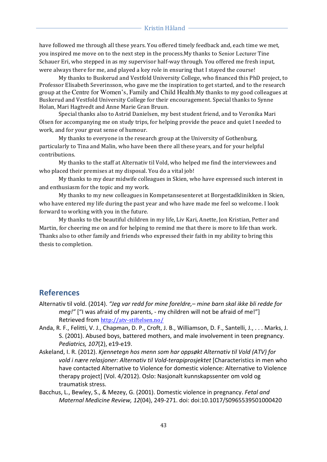have followed me through all these years. You offered timely feedback and, each time we met, you inspired me move on to the next step in the process. My thanks to Senior Lecturer Tine Schauer Eri, who stepped in as my supervisor half-way through. You offered me fresh input, were always there for me, and played a key role in ensuring that I stayed the course!

My thanks to Buskerud and Vestfold University College, who financed this PhD project, to Professor Elisabeth Severinsson, who gave me the inspiration to get started, and to the research group at the Centre for Women's, Family and Child Health.My thanks to my good colleagues at Buskerud and Vestfold University College for their encouragement. Special thanks to Synne Holan, Mari Hagtvedt and Anne Marie Gran Bruun.

Special thanks also to Astrid Danielsen, my best student friend, and to Veronika Mari Olsen for accompanying me on study trips, for helping provide the peace and quiet I needed to work, and for your great sense of humour.

My thanks to everyone in the research group at the University of Gothenburg, particularly to Tina and Malin, who have been there all these years, and for your helpful contributions. 

My thanks to the staff at Alternativ til Vold, who helped me find the interviewees and who placed their premises at my disposal. You do a vital job!

My thanks to my dear midwife colleagues in Skien, who have expressed such interest in and enthusiasm for the topic and my work.

My thanks to my new colleagues in Kompetansesenteret at Borgestadklinikken in Skien, who have entered my life during the past year and who have made me feel so welcome. I look forward to working with you in the future.

My thanks to the beautiful children in my life, Liv Kari, Anette, Jon Kristian, Petter and Martin, for cheering me on and for helping to remind me that there is more to life than work. Thanks also to other family and friends who expressed their faith in my ability to bring this thesis to completion.

### **References**

Alternativ til vold. (2014). "Jeg var redd for mine foreldre,– mine barn skal ikke bli redde for *meq!"* ["I was afraid of my parents, - my children will not be afraid of me!"] Retrieved from http://atv-stiftelsen.no/

- Anda, R. F., Felitti, V. J., Chapman, D. P., Croft, J. B., Williamson, D. F., Santelli, J., ... Marks, J. S. (2001). Abused boys, battered mothers, and male involvement in teen pregnancy. *Pediatrics, 107*(2), e19-e19.
- Askeland, I. R. (2012). *Kjennetegn hos menn som har oppsøkt Alternativ til Vold (ATV) for* vold *i* nære relasjoner: Alternativ til Vold-terapiprosjektet [Characteristics in men who have contacted Alternative to Violence for domestic violence: Alternative to Violence therapy project] (Vol. 4/2012). Oslo: Nasjonalt kunnskapssenter om vold og traumatisk stress.
- Bacchus, L., Bewley, S., & Mezey, G. (2001). Domestic violence in pregnancy. *Fetal and Maternal Medicine Review, 12*(04), 249-271. doi: doi:10.1017/S0965539501000420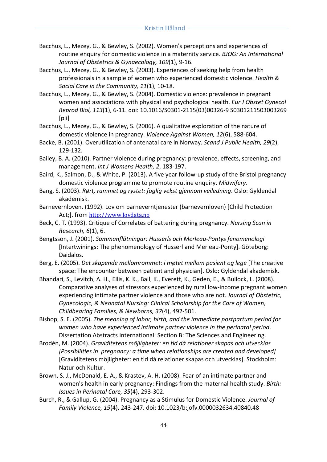- Bacchus, L., Mezey, G., & Bewley, S. (2002). Women's perceptions and experiences of routine enquiry for domestic violence in a maternity service. *BJOG: An International* Journal of Obstetrics & Gynaecology, 109(1), 9-16.
- Bacchus, L., Mezey, G., & Bewley, S. (2003). Experiences of seeking help from health professionals in a sample of women who experienced domestic violence. *Health &* Social Care in the Community, 11(1), 10-18.
- Bacchus, L., Mezey, G., & Bewley, S. (2004). Domestic violence: prevalence in pregnant women and associations with physical and psychological health. *Eur J Obstet Gynecol Reprod Biol, 113*(1), 6-11. doi: 10.1016/S0301-2115(03)00326-9 S0301211503003269 [pii]
- Bacchus, L., Mezey, G., & Bewley, S. (2006). A qualitative exploration of the nature of domestic violence in pregnancy. Violence Against Women, 12(6), 588-604.
- Backe, B. (2001). Overutilization of antenatal care in Norway. *Scand J Public Health, 29*(2), 129-132.
- Bailey, B. A. (2010). Partner violence during pregnancy: prevalence, effects, screening, and management. Int J Womens Health, 2, 183-197.
- Baird, K., Salmon, D., & White, P. (2013). A five year follow-up study of the Bristol pregnancy domestic violence programme to promote routine enquiry. Midwifery.
- Bang, S. (2003). *Rørt, rammet og rystet: faglig vekst gjennom veiledning*. Oslo: Gyldendal akademisk.
- Barnevernloven. (1992). Lov om barneverntjenester (barnevernloven) [Child Protection Act;]. from http://www.lovdata.no
- Beck, C. T. (1993). Critique of Correlates of battering during pregnancy. *Nursing Scan in Research, 6*(1), 6.
- Bengtsson, J. (2001). Sammanflätningar: Husserls och Merleau-Pontys fenomenologi [Intertwinings: The phenomenology of Husserl and Merleau-Ponty]. Göteborg: Daidalos.
- Berg, E. (2005). *Det skapende mellomrommet: i møtet mellom pasient og lege* [The creative space: The encounter between patient and physician]. Oslo: Gyldendal akademisk.
- Bhandari, S., Levitch, A. H., Ellis, K. K., Ball, K., Everett, K., Geden, E., & Bullock, L. (2008). Comparative analyses of stressors experienced by rural low-income pregnant women experiencing intimate partner violence and those who are not. *Journal of Obstetric*, Gynecologic, & Neonatal Nursing: Clinical Scholarship for the Care of Women, *Childbearing Families, & Newborns, 37*(4), 492-501.
- Bishop, S. E. (2005). *The meaning of labor, birth, and the immediate postpartum period for women* who have experienced intimate partner violence in the perinatal period. Dissertation Abstracts International: Section B: The Sciences and Engineering.
- Brodén, M. (2004). *Graviditetens möjligheter: en tid då relationer skapas och utvecklas [Possibilities in pregnancy: a time when relationships are created and developed]* [Graviditetens möjligheter: en tid då relationer skapas och utvecklas]. Stockholm: Natur och Kultur.
- Brown, S. J., McDonald, E. A., & Krastev, A. H. (2008). Fear of an intimate partner and women's health in early pregnancy: Findings from the maternal health study. Birth: *Issues in Perinatal Care, 35(4), 293-302.*
- Burch, R., & Gallup, G. (2004). Pregnancy as a Stimulus for Domestic Violence. *Journal of Family Violence, 19*(4), 243-247. doi: 10.1023/b:jofv.0000032634.40840.48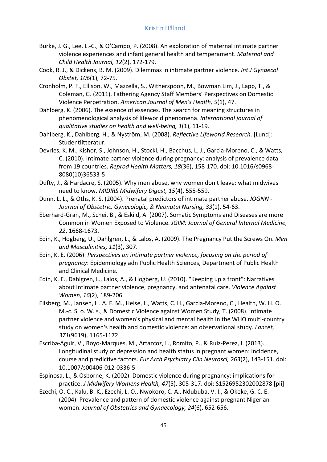- Burke, J. G., Lee, L.-C., & O'Campo, P. (2008). An exploration of maternal intimate partner violence experiences and infant general health and temperament. *Maternal and Child Health Journal, 12*(2), 172-179.
- Cook, R. J., & Dickens, B. M. (2009). Dilemmas in intimate partner violence. *Int J Gynaecol Obstet, 106*(1), 72-75.
- Cronholm, P. F., Ellison, W., Mazzella, S., Witherspoon, M., Bowman Lim, J., Lapp, T., & Coleman, G. (2011). Fathering Agency Staff Members' Perspectives on Domestic Violence Perpetration. American Journal of Men's Health, 5(1), 47.
- Dahlberg, K. (2006). The essence of essences. The search for meaning structures in phenomenological analysis of lifeworld phenomena. *International journal of qualitative studies on health and well-being, 1*(1), 11-19.
- Dahlberg, K., Dahlberg, H., & Nyström, M. (2008). Reflective Lifeworld Research. [Lund]: Studentlitteratur.
- Devries, K. M., Kishor, S., Johnson, H., Stockl, H., Bacchus, L. J., Garcia-Moreno, C., & Watts, C. (2010). Intimate partner violence during pregnancy: analysis of prevalence data from 19 countries. *Reprod Health Matters, 18*(36), 158-170. doi: 10.1016/s0968-8080(10)36533-5
- Dufty, J., & Hardacre, S. (2005). Why men abuse, why women don't leave: what midwives need to know. *MIDIRS Midwifery Digest, 15*(4), 555-559.
- Dunn, L. L., & Oths, K. S. (2004). Prenatal predictors of intimate partner abuse. *JOGNN* -Journal of Obstetric, Gynecologic, & Neonatal Nursing, 33(1), 54-63.
- Eberhard-Gran, M., Schei, B., & Eskild, A. (2007). Somatic Symptoms and Diseases are more Common in Women Exposed to Violence. *JGIM: Journal of General Internal Medicine*, *22*, 1668-1673.
- Edin, K., Hogberg, U., Dahlgren, L., & Lalos, A. (2009). The Pregnancy Put the Screws On. Men *and Masculinities, 11*(3), 307.
- Edin, K. E. (2006). Perspectives on intimate partner violence, focusing on the period of pregnancy: Epidemiology adn Public Health Sciences, Department of Public Health and Clinical Medicine.
- Edin, K. E., Dahlgren, L., Lalos, A., & Hogberg, U. (2010). "Keeping up a front": Narratives about intimate partner violence, pregnancy, and antenatal care. Violence Against *Women,* 16(2), 189-206.
- Ellsberg, M., Jansen, H. A. F. M., Heise, L., Watts, C. H., Garcia-Moreno, C., Health, W. H. O. M.-c. S. o. W. s., & Domestic Violence against Women Study, T. (2008). Intimate partner violence and women's physical and mental health in the WHO multi-country study on women's health and domestic violence: an observational study. *Lancet*, *371*(9619), 1165-1172.
- Escriba-Aguir, V., Royo-Marques, M., Artazcoz, L., Romito, P., & Ruiz-Perez, I. (2013). Longitudinal study of depression and health status in pregnant women: incidence, course and predictive factors. *Eur Arch Psychiatry Clin Neurosci, 263*(2), 143-151. doi: 10.1007/s00406-012-0336-5
- Espinosa, L., & Osborne, K. (2002). Domestic violence during pregnancy: implications for practice. *J Midwifery Womens Health, 47*(5), 305-317. doi: S1526952302002878 [pii]
- Ezechi, O. C., Kalu, B. K., Ezechi, L. O., Nwokoro, C. A., Ndububa, V. I., & Okeke, G. C. E. (2004). Prevalence and pattern of domestic violence against pregnant Nigerian women. Journal of Obstetrics and Gynaecology, 24(6), 652-656.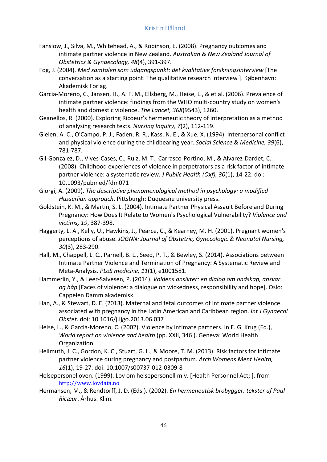- Fanslow, J., Silva, M., Whitehead, A., & Robinson, E. (2008). Pregnancy outcomes and intimate partner violence in New Zealand. Australian & New Zealand Journal of *Obstetrics & Gynaecology, 48*(4), 391-397.
- Fog, J. (2004). *Med samtalen som udgangspunkt: det kvalitative forskningsinterview* [The conversation as a starting point: The qualitative research interview ]. København: Akademisk Forlag.
- Garcia-Moreno, C., Jansen, H., A. F. M., Ellsberg, M., Heise, L., & et al. (2006). Prevalence of intimate partner violence: findings from the WHO multi-country study on women's health and domestic violence. The Lancet, 368(9543), 1260.
- Geanellos, R. (2000). Exploring Ricoeur's hermeneutic theory of interpretation as a method of analysing research texts. *Nursing Inquiry, 7*(2), 112-119.
- Gielen, A. C., O'Campo, P. J., Faden, R. R., Kass, N. E., & Xue, X. (1994). Interpersonal conflict and physical violence during the childbearing year. *Social Science & Medicine*, 39(6), 781-787.
- Gil-Gonzalez, D., Vives-Cases, C., Ruiz, M. T., Carrasco-Portino, M., & Alvarez-Dardet, C. (2008). Childhood experiences of violence in perpetrators as a risk factor of intimate partner violence: a systematic review. *J Public Health (Oxf), 30*(1), 14-22. doi: 10.1093/pubmed/fdm071
- Giorgi, A. (2009). *The descriptive phenomenological method in psychology: a modified* Husserlian approach. Pittsburgh: Duquesne university press.
- Goldstein, K. M., & Martin, S. L. (2004). Intimate Partner Physical Assault Before and During Pregnancy: How Does It Relate to Women's Psychological Vulnerability? Violence and *victims, 19*, 387-398.
- Haggerty, L. A., Kelly, U., Hawkins, J., Pearce, C., & Kearney, M. H. (2001). Pregnant women's perceptions of abuse. JOGNN: Journal of Obstetric, Gynecologic & Neonatal Nursing, *30*(3), 283-290.
- Hall, M., Chappell, L. C., Parnell, B. L., Seed, P. T., & Bewley, S. (2014). Associations between Intimate Partner Violence and Termination of Pregnancy: A Systematic Review and Meta-Analysis. *PLoS medicine, 11*(1), e1001581.
- Hammerlin, Y., & Leer-Salvesen, P. (2014). *Voldens ansikter: en dialog om ondskap, ansvar* og håp [Faces of violence: a dialogue on wickedness, responsibility and hope]. Oslo: Cappelen Damm akademisk.
- Han, A., & Stewart, D. E. (2013). Maternal and fetal outcomes of intimate partner violence associated with pregnancy in the Latin American and Caribbean region. *Int J Gynaecol Obstet*. doi: 10.1016/j.ijgo.2013.06.037
- Heise, L., & Garcia-Moreno, C. (2002). Violence by intimate partners. In E. G. Krug (Ed.), *World report on violence and health* (pp. XXII, 346 ). Geneva: World Health Organization.
- Hellmuth, J. C., Gordon, K. C., Stuart, G. L., & Moore, T. M. (2013). Risk factors for intimate partner violence during pregnancy and postpartum. Arch Womens Ment Health, 16(1), 19-27. doi: 10.1007/s00737-012-0309-8
- Helsepersonelloven. (1999). Lov om helsepersonell m.v. [Health Personnel Act; ]. from http://www.lovdata.no
- Hermansen, M., & Rendtorff, J. D. (Eds.). (2002). *En hermeneutisk brobygger: tekster af Paul Ricæur*. Århus: Klim.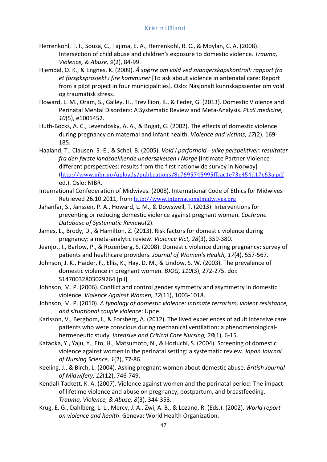- Herrenkohl, T. I., Sousa, C., Tajima, E. A., Herrenkohl, R. C., & Moylan, C. A. (2008). Intersection of child abuse and children's exposure to domestic violence. *Trauma*, *Violence, & Abuse, 9*(2), 84-99.
- Hjemdal, O. K., & Engnes, K. (2009). Å spørre om vold ved svangerskapskontroll: rapport fra et forsøksprosjekt i fire kommuner [To ask about violence in antenatal care: Report from a pilot project in four municipalities]. Oslo: Nasjonalt kunnskapssenter om vold og traumatisk stress.
- Howard, L. M., Oram, S., Galley, H., Trevillion, K., & Feder, G. (2013). Domestic Violence and Perinatal Mental Disorders: A Systematic Review and Meta-Analysis. *PLoS medicine*, *10*(5), e1001452.
- Huth-Bocks, A. C., Levendosky, A. A., & Bogat, G. (2002). The effects of domestic violence during pregnancy on maternal and infant health. *Violence and victims, 17*(2), 169-185.
- Haaland, T., Clausen, S.-E., & Schei, B. (2005). *Vold i parforhold ulike perspektiver: resultater fra den første landsdekkende undersøkelsen i Norge* [Intimate Partner Violence different perspectives: results from the first nationwide survey in Norway] (http://www.nibr.no/uploads/publications/8c7695745995ffcac1e73e454d17e63a.pdf ed.). Oslo: NIBR.
- International Confederation of Midwives. (2008). International Code of Ethics for Midwives Retrieved 26.10.2011, from http://www.internationalmidwives.org
- Jahanfar, S., Janssen, P. A., Howard, L. M., & Dowswell, T. (2013). Interventions for preventing or reducing domestic violence against pregnant women. *Cochrane Database of Systematic Reviews*(2).
- James, L., Brody, D., & Hamilton, Z. (2013). Risk factors for domestic violence during pregnancy: a meta-analytic review. Violence Vict, 28(3), 359-380.
- Jeanjot, I., Barlow, P., & Rozenberg, S. (2008). Domestic violence during pregnancy: survey of patients and healthcare providers. Journal of Women's Health, 17(4), 557-567.
- Johnson, J. K., Haider, F., Ellis, K., Hay, D. M., & Lindow, S. W. (2003). The prevalence of domestic violence in pregnant women. *BJOG, 110*(3), 272-275. doi: S1470032803029264 [pii]
- Johnson, M. P. (2006). Conflict and control gender symmetry and asymmetry in domestic violence. Violence Against Women, 12(11), 1003-1018.
- Johnson, M. P. (2010). A typology of domestic violence: Intimate terrorism, violent resistance, *and situational couple violence*: Upne.
- Karlsson, V., Bergbom, I., & Forsberg, A. (2012). The lived experiences of adult intensive care patients who were conscious during mechanical ventilation: a phenomenologicalhermeneutic study. Intensive and Critical Care Nursing, 28(1), 6-15.
- Kataoka, Y., Yaju, Y., Eto, H., Matsumoto, N., & Horiuchi, S. (2004). Screening of domestic violence against women in the perinatal setting: a systematic review. *Japan Journal of Nursing Science, 1*(2), 77-86.
- Keeling, J., & Birch, L. (2004). Asking pregnant women about domestic abuse. British Journal *of Midwifery, 12*(12), 746-749.
- Kendall-Tackett, K. A. (2007). Violence against women and the perinatal period: The impact of lifetime violence and abuse on pregnancy, postpartum, and breastfeeding. *Trauma, Violence, & Abuse, 8*(3), 344-353.
- Krug, E. G., Dahlberg, L. L., Mercy, J. A., Zwi, A. B., & Lozano, R. (Eds.). (2002). World report *on violence and health*. Geneva: World Health Organization.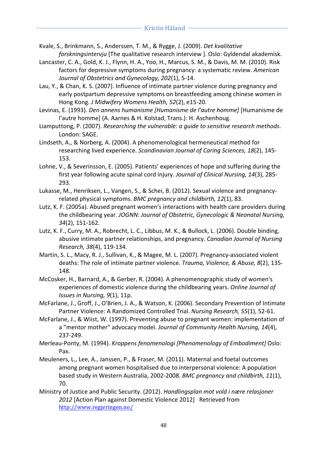- Kvale, S., Brinkmann, S., Anderssen, T. M., & Rygge, J. (2009). *Det kvalitative forskningsintervju* [The qualitative research interview ]. Oslo: Gyldendal akademisk.
- Lancaster, C. A., Gold, K. J., Flynn, H. A., Yoo, H., Marcus, S. M., & Davis, M. M. (2010). Risk factors for depressive symptoms during pregnancy: a systematic review. American Journal of Obstetrics and Gynecology, 202(1), 5-14.
- Lau, Y., & Chan, K. S. (2007). Influence of intimate partner violence during pregnancy and early postpartum depressive symptoms on breastfeeding among chinese women in Hong Kong. *J Midwifery Womens Health, 52*(2), e15-20.
- Levinas, E. (1993). *Den annens humanisme [Humanisme de l'autre homme]* [Humanisme de l'autre homme] (A. Aarnes & H. Kolstad, Trans.): H. Aschenhoug.
- Liamputtong, P. (2007). *Researching the vulnerable: a quide to sensitive research methods.* London: SAGE.
- Lindseth, A., & Norberg, A. (2004). A phenomenological hermeneutical method for researching lived experience. *Scandinavian Journal of Caring Sciences, 18*(2), 145-153.
- Lohne, V., & Severinsson, E. (2005). Patients' experiences of hope and suffering during the first year following acute spinal cord injury. Journal of Clinical Nursing, 14(3), 285-293.
- Lukasse, M., Henriksen, L., Vangen, S., & Schei, B. (2012). Sexual violence and pregnancyrelated physical symptoms. *BMC pregnancy and childbirth, 12*(1), 83.
- Lutz, K. F. (2005a). Abused pregnant women's interactions with health care providers during the childbearing year. *JOGNN: Journal of Obstetric, Gynecologic & Neonatal Nursing, 34*(2), 151-162.
- Lutz, K. F., Curry, M. A., Robrecht, L. C., Libbus, M. K., & Bullock, L. (2006). Double binding, abusive intimate partner relationships, and pregnancy. *Canadian Journal of Nursing Research, 38*(4), 119-134.
- Martin, S. L., Macy, R. J., Sullivan, K., & Magee, M. L. (2007). Pregnancy-associated violent deaths: The role of intimate partner violence. *Trauma, Violence, & Abuse, 8*(2), 135-148.
- McCosker, H., Barnard, A., & Gerber, R. (2004). A phenomenographic study of women's experiences of domestic violence during the childbearing years. Online Journal of *Issues in Nursing, 9*(1), 11p.
- McFarlane, J., Groff, J., O'Brien, J. A., & Watson, K. (2006). Secondary Prevention of Intimate Partner Violence: A Randomized Controlled Trial. *Nursing Research, 55*(1), 52-61.
- McFarlane, J., & Wiist, W. (1997). Preventing abuse to pregnant women: implementation of a "mentor mother" advocacy model. *Journal of Community Health Nursing, 14*(4), 237-249.
- Merleau-Ponty, M. (1994). *Kroppens fenomenologi [Phenomenology of Embodiment]* Oslo: Pax.
- Meuleners, L., Lee, A., Janssen, P., & Fraser, M. (2011). Maternal and foetal outcomes among pregnant women hospitalised due to interpersonal violence: A population based study in Western Australia, 2002-2008. *BMC pregnancy and childbirth, 11*(1), 70.
- Ministry of Justice and Public Security. (2012). *Handlingsplan mot vold i nære relasjoner* 2012 [Action Plan against Domestic Violence 2012] Retrieved from http://www.regjeringen.no/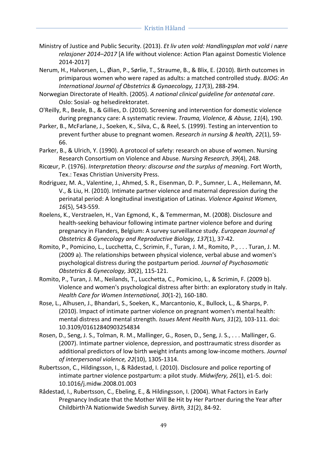Ministry of Justice and Public Security. (2013). *Et liv uten vold: Handlingsplan mot vold i nære* relasjoner 2014–2017 [A life without violence: Action Plan against Domestic Violence 2014-2017] 

Nerum, H., Halvorsen, L., Øian, P., Sørlie, T., Straume, B., & Blix, E. (2010). Birth outcomes in primiparous women who were raped as adults: a matched controlled study. *BJOG: An* International Journal of Obstetrics & Gynaecology, 117(3), 288-294.

Norwegian Directorate of Health. (2005). A national clinical quideline for antenatal care. Oslo: Sosial- og helsedirektoratet.

- O'Reilly, R., Beale, B., & Gillies, D. (2010). Screening and intervention for domestic violence during pregnancy care: A systematic review. *Trauma, Violence, & Abuse, 11*(4), 190.
- Parker, B., McFarlane, J., Soeken, K., Silva, C., & Reel, S. (1999). Testing an intervention to prevent further abuse to pregnant women. Research in nursing & health, 22(1), 59-66.
- Parker, B., & Ulrich, Y. (1990). A protocol of safety: research on abuse of women. Nursing Research Consortium on Violence and Abuse. *Nursing Research, 39*(4), 248.
- Ricœur, P. (1976). *Interpretation theory: discourse and the surplus of meaning*. Fort Worth, Tex.: Texas Christian University Press.
- Rodriguez, M. A., Valentine, J., Ahmed, S. R., Eisenman, D. P., Sumner, L. A., Heilemann, M. V., & Liu, H. (2010). Intimate partner violence and maternal depression during the perinatal period: A longitudinal investigation of Latinas. *Violence Against Women, 16*(5), 543-559.
- Roelens, K., Verstraelen, H., Van Egmond, K., & Temmerman, M. (2008). Disclosure and health-seeking behaviour following intimate partner violence before and during pregnancy in Flanders, Belgium: A survey surveillance study. *European Journal of Obstetrics & Gynecology and Reproductive Biology, 137*(1), 37-42.
- Romito, P., Pomicino, L., Lucchetta, C., Scrimin, F., Turan, J. M., Romito, P., . . . Turan, J. M. (2009 a). The relationships between physical violence, verbal abuse and women's psychological distress during the postpartum period. *Journal of Psychosomatic Obstetrics & Gynecology, 30*(2), 115-121.

Romito, P., Turan, J. M., Neilands, T., Lucchetta, C., Pomicino, L., & Scrimin, F. (2009 b). Violence and women's psychological distress after birth: an exploratory study in Italy. *Health Care for Women International, 30*(1-2), 160-180.

- Rose, L., Alhusen, J., Bhandari, S., Soeken, K., Marcantonio, K., Bullock, L., & Sharps, P. (2010). Impact of intimate partner violence on pregnant women's mental health: mental distress and mental strength. Issues Ment Health Nurs, 31(2), 103-111. doi: 10.3109/01612840903254834
- Rosen, D., Seng, J. S., Tolman, R. M., Mallinger, G., Rosen, D., Seng, J. S., ... Mallinger, G. (2007). Intimate partner violence, depression, and posttraumatic stress disorder as additional predictors of low birth weight infants among low-income mothers. *Journal of interpersonal violence, 22*(10), 1305-1314.
- Rubertsson, C., Hildingsson, I., & Rådestad, I. (2010). Disclosure and police reporting of intimate partner violence postpartum: a pilot study. *Midwifery, 26*(1), e1-5. doi: 10.1016/j.midw.2008.01.003
- Rådestad, I., Rubertsson, C., Ebeling, E., & Hildingsson, I. (2004). What Factors in Early Pregnancy Indicate that the Mother Will Be Hit by Her Partner during the Year after Childbirth?A Nationwide Swedish Survey. *Birth, 31*(2), 84-92.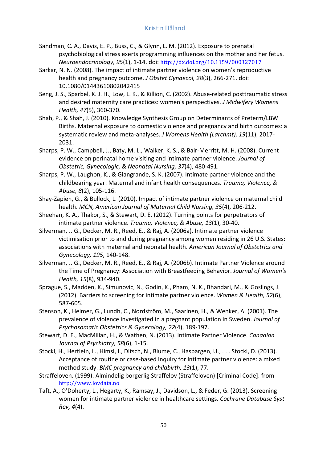- Sandman, C. A., Davis, E. P., Buss, C., & Glynn, L. M. (2012). Exposure to prenatal psychobiological stress exerts programming influences on the mother and her fetus. *Neuroendocrinology, 95*(1), 1-14. doi: http://dx.doi.org/10.1159/000327017
- Sarkar, N. N. (2008). The impact of intimate partner violence on women's reproductive health and pregnancy outcome. *J Obstet Gynaecol*, 28(3), 266-271. doi: 10.1080/01443610802042415
- Seng, J. S., Sparbel, K. J. H., Low, L. K., & Killion, C. (2002). Abuse-related posttraumatic stress and desired maternity care practices: women's perspectives. *J Midwifery Womens Health, 47*(5), 360-370.
- Shah, P., & Shah, J. (2010). Knowledge Synthesis Group on Determinants of Preterm/LBW Births. Maternal exposure to domestic violence and pregnancy and birth outcomes: a systematic review and meta-analyses. J Womens Health (Larchmt), 19(11), 2017-2031.
- Sharps, P. W., Campbell, J., Baty, M. L., Walker, K. S., & Bair-Merritt, M. H. (2008). Current evidence on perinatal home visiting and intimate partner violence. *Journal of Obstetric, Gynecologic, & Neonatal Nursing, 37*(4), 480-491.
- Sharps, P. W., Laughon, K., & Giangrande, S. K. (2007). Intimate partner violence and the childbearing year: Maternal and infant health consequences. *Trauma, Violence, & Abuse, 8*(2), 105-116.
- Shay-Zapien, G., & Bullock, L. (2010). Impact of intimate partner violence on maternal child health. *MCN, American Journal of Maternal Child Nursing, 35*(4), 206-212.
- Sheehan, K. A., Thakor, S., & Stewart, D. E. (2012). Turning points for perpetrators of intimate partner violence. *Trauma, Violence, & Abuse, 13*(1), 30-40.
- Silverman, J. G., Decker, M. R., Reed, E., & Raj, A. (2006a). Intimate partner violence victimisation prior to and during pregnancy among women residing in 26 U.S. States: associations with maternal and neonatal health. American Journal of Obstetrics and *Gynecology, 195*, 140-148.
- Silverman, J. G., Decker, M. R., Reed, E., & Raj, A. (2006b). Intimate Partner Violence around the Time of Pregnancy: Association with Breastfeeding Behavior. Journal of Women's *Health, 15*(8), 934-940.
- Sprague, S., Madden, K., Simunovic, N., Godin, K., Pham, N. K., Bhandari, M., & Goslings, J. (2012). Barriers to screening for intimate partner violence. *Women & Health, 52(6),* 587-605.
- Stenson, K., Heimer, G., Lundh, C., Nordström, M., Saarinen, H., & Wenker, A. (2001). The prevalence of violence investigated in a pregnant population in Sweden. *Journal of Psychosomatic Obstetrics & Gynecology, 22*(4), 189-197.
- Stewart, D. E., MacMillan, H., & Wathen, N. (2013). Intimate Partner Violence. *Canadian* Journal of Psychiatry, 58(6), 1-15.
- Stockl, H., Hertlein, L., Himsl, I., Ditsch, N., Blume, C., Hasbargen, U., . . . Stockl, D. (2013). Acceptance of routine or case-based inquiry for intimate partner violence: a mixed method study. *BMC pregnancy and childbirth, 13*(1), 77.
- Straffeloven. (1999). Almindelig borgerlig Straffelov (Straffeloven) [Criminal Code]. from http://www.lovdata.no
- Taft, A., O'Doherty, L., Hegarty, K., Ramsay, J., Davidson, L., & Feder, G. (2013). Screening women for intimate partner violence in healthcare settings. *Cochrane Database Syst Rev, 4*(4).